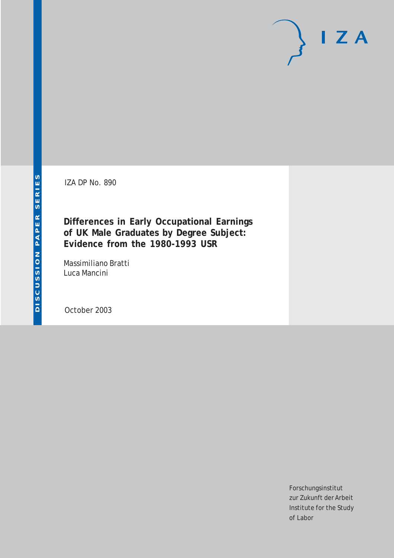IZA DP No. 890

**Differences in Early Occupational Earnings of UK Male Graduates by Degree Subject: Evidence from the 1980-1993 USR**

Massimiliano Bratti Luca Mancini

October 2003

Forschungsinstitut zur Zukunft der Arbeit Institute for the Study of Labor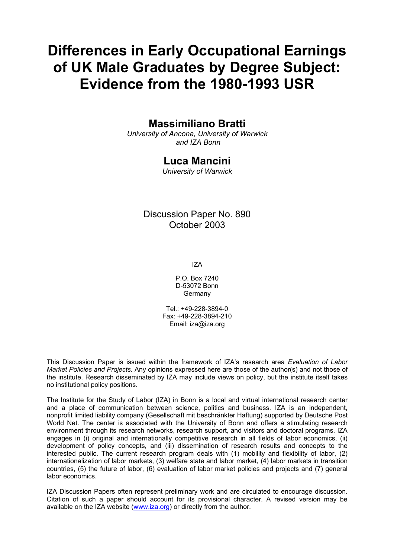# **Differences in Early Occupational Earnings of UK Male Graduates by Degree Subject: Evidence from the 1980-1993 USR**

### **Massimiliano Bratti**

*University of Ancona, University of Warwick and IZA Bonn* 

### **Luca Mancini**

*University of Warwick* 

### Discussion Paper No. 890 October 2003

IZA

P.O. Box 7240 D-53072 Bonn **Germany** 

Tel.: +49-228-3894-0 Fax: +49-228-3894-210 Email: [iza@iza.org](mailto:iza@iza.org)

This Discussion Paper is issued within the framework of IZA's research area *Evaluation of Labor Market Policies and Projects.* Any opinions expressed here are those of the author(s) and not those of the institute. Research disseminated by IZA may include views on policy, but the institute itself takes no institutional policy positions.

The Institute for the Study of Labor (IZA) in Bonn is a local and virtual international research center and a place of communication between science, politics and business. IZA is an independent, nonprofit limited liability company (Gesellschaft mit beschränkter Haftung) supported by Deutsche Post World Net. The center is associated with the University of Bonn and offers a stimulating research environment through its research networks, research support, and visitors and doctoral programs. IZA engages in (i) original and internationally competitive research in all fields of labor economics, (ii) development of policy concepts, and (iii) dissemination of research results and concepts to the interested public. The current research program deals with (1) mobility and flexibility of labor, (2) internationalization of labor markets, (3) welfare state and labor market, (4) labor markets in transition countries, (5) the future of labor, (6) evaluation of labor market policies and projects and (7) general labor economics.

IZA Discussion Papers often represent preliminary work and are circulated to encourage discussion. Citation of such a paper should account for its provisional character. A revised version may be available on the IZA website ([www.iza.org](http://www.iza.org/)) or directly from the author.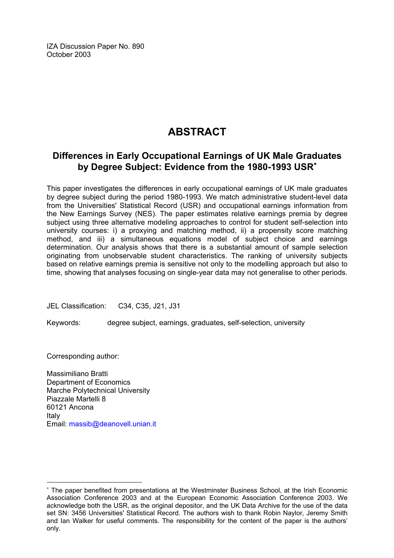IZA Discussion Paper No. 890 October 2003

# **ABSTRACT**

### **Differences in Early Occupational Earnings of UK Male Graduates by Degree Subject: Evidence from the 1980-1993 USR**[∗](#page-2-0)

This paper investigates the differences in early occupational earnings of UK male graduates by degree subject during the period 1980-1993. We match administrative student-level data from the Universities' Statistical Record (USR) and occupational earnings information from the New Earnings Survey (NES). The paper estimates relative earnings premia by degree subject using three alternative modeling approaches to control for student self-selection into university courses: i) a proxying and matching method, ii) a propensity score matching method, and iii) a simultaneous equations model of subject choice and earnings determination. Our analysis shows that there is a substantial amount of sample selection originating from unobservable student characteristics. The ranking of university subjects based on relative earnings premia is sensitive not only to the modelling approach but also to time, showing that analyses focusing on single-year data may not generalise to other periods.

JEL Classification: C34, C35, J21, J31

Keywords: degree subject, earnings, graduates, self-selection, university

Corresponding author:

 $\overline{a}$ 

Massimiliano Bratti Department of Economics Marche Polytechnical University Piazzale Martelli 8 60121 Ancona Italy Email: [massib@deanovell.unian.it](mailto:massib@deanovell.unian.it)

<span id="page-2-0"></span><sup>∗</sup> The paper benefited from presentations at the Westminster Business School, at the Irish Economic Association Conference 2003 and at the European Economic Association Conference 2003. We acknowledge both the USR, as the original depositor, and the UK Data Archive for the use of the data set SN: 3456 Universities' Statistical Record. The authors wish to thank Robin Naylor, Jeremy Smith and Ian Walker for useful comments. The responsibility for the content of the paper is the authors' only.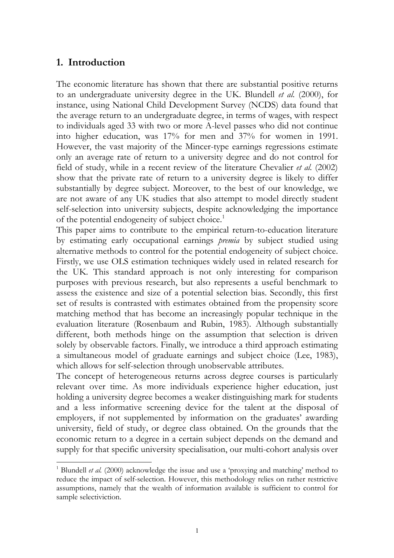### **1. Introduction**

 $\overline{a}$ 

The economic literature has shown that there are substantial positive returns to an undergraduate university degree in the UK. Blundell *et al.* (2000), for instance, using National Child Development Survey (NCDS) data found that the average return to an undergraduate degree, in terms of wages, with respect to individuals aged 33 with two or more A-level passes who did not continue into higher education, was 17% for men and 37% for women in 1991. However, the vast majority of the Mincer-type earnings regressions estimate only an average rate of return to a university degree and do not control for field of study, while in a recent review of the literature Chevalier *et al.* (2002) show that the private rate of return to a university degree is likely to differ substantially by degree subject. Moreover, to the best of our knowledge, we are not aware of any UK studies that also attempt to model directly student self-selection into university subjects, despite acknowledging the importance of the potential endogeneity of subject choice.<sup>1</sup>

This paper aims to contribute to the empirical return-to-education literature by estimating early occupational earnings *premia* by subject studied using alternative methods to control for the potential endogeneity of subject choice. Firstly, we use OLS estimation techniques widely used in related research for the UK. This standard approach is not only interesting for comparison purposes with previous research, but also represents a useful benchmark to assess the existence and size of a potential selection bias. Secondly, this first set of results is contrasted with estimates obtained from the propensity score matching method that has become an increasingly popular technique in the evaluation literature (Rosenbaum and Rubin, 1983). Although substantially different, both methods hinge on the assumption that selection is driven solely by observable factors. Finally, we introduce a third approach estimating a simultaneous model of graduate earnings and subject choice (Lee, 1983), which allows for self-selection through unobservable attributes.

The concept of heterogeneous returns across degree courses is particularly relevant over time. As more individuals experience higher education, just holding a university degree becomes a weaker distinguishing mark for students and a less informative screening device for the talent at the disposal of employers, if not supplemented by information on the graduates' awarding university, field of study, or degree class obtained. On the grounds that the economic return to a degree in a certain subject depends on the demand and supply for that specific university specialisation, our multi-cohort analysis over

<span id="page-3-0"></span><sup>1</sup> Blundell *et al.* (2000) acknowledge the issue and use a 'proxying and matching' method to reduce the impact of self-selection. However, this methodology relies on rather restrictive assumptions, namely that the wealth of information available is sufficient to control for sample selectiviction.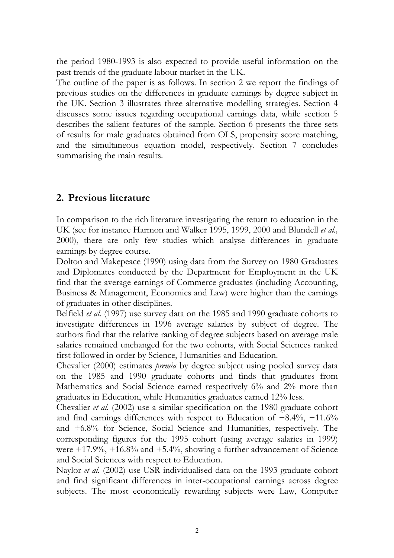the period 1980-1993 is also expected to provide useful information on the past trends of the graduate labour market in the UK.

The outline of the paper is as follows. In section 2 we report the findings of previous studies on the differences in graduate earnings by degree subject in the UK. Section 3 illustrates three alternative modelling strategies. Section 4 discusses some issues regarding occupational earnings data, while section 5 describes the salient features of the sample. Section 6 presents the three sets of results for male graduates obtained from OLS, propensity score matching, and the simultaneous equation model, respectively. Section 7 concludes summarising the main results.

## **2. Previous literature**

In comparison to the rich literature investigating the return to education in the UK (see for instance Harmon and Walker 1995, 1999, 2000 and Blundell *et al.,* 2000), there are only few studies which analyse differences in graduate earnings by degree course.

Dolton and Makepeace (1990) using data from the Survey on 1980 Graduates and Diplomates conducted by the Department for Employment in the UK find that the average earnings of Commerce graduates (including Accounting, Business & Management, Economics and Law) were higher than the earnings of graduates in other disciplines.

Belfield *et al.* (1997) use survey data on the 1985 and 1990 graduate cohorts to investigate differences in 1996 average salaries by subject of degree. The authors find that the relative ranking of degree subjects based on average male salaries remained unchanged for the two cohorts, with Social Sciences ranked first followed in order by Science, Humanities and Education.

Chevalier (2000) estimates *premia* by degree subject using pooled survey data on the 1985 and 1990 graduate cohorts and finds that graduates from Mathematics and Social Science earned respectively 6% and 2% more than graduates in Education, while Humanities graduates earned 12% less.

Chevalier *et al.* (2002) use a similar specification on the 1980 graduate cohort and find earnings differences with respect to Education of  $+8.4\%$ ,  $+11.6\%$ and +6.8% for Science, Social Science and Humanities, respectively. The corresponding figures for the 1995 cohort (using average salaries in 1999) were  $+17.9\%$ ,  $+16.8\%$  and  $+5.4\%$ , showing a further advancement of Science and Social Sciences with respect to Education.

Naylor *et al.* (2002) use USR individualised data on the 1993 graduate cohort and find significant differences in inter-occupational earnings across degree subjects. The most economically rewarding subjects were Law, Computer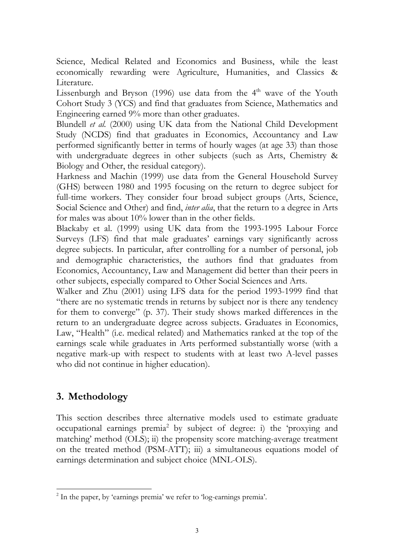Science, Medical Related and Economics and Business, while the least economically rewarding were Agriculture, Humanities, and Classics & Literature.

Lissenburgh and Bryson (1996) use data from the 4<sup>th</sup> wave of the Youth Cohort Study 3 (YCS) and find that graduates from Science, Mathematics and Engineering earned 9% more than other graduates.

Blundell *et al.* (2000) using UK data from the National Child Development Study (NCDS) find that graduates in Economics, Accountancy and Law performed significantly better in terms of hourly wages (at age 33) than those with undergraduate degrees in other subjects (such as Arts, Chemistry & Biology and Other, the residual category).

Harkness and Machin (1999) use data from the General Household Survey (GHS) between 1980 and 1995 focusing on the return to degree subject for full-time workers. They consider four broad subject groups (Arts, Science, Social Science and Other) and find, *inter alia*, that the return to a degree in Arts for males was about 10% lower than in the other fields.

Blackaby et al. (1999) using UK data from the 1993-1995 Labour Force Surveys (LFS) find that male graduates' earnings vary significantly across degree subjects. In particular, after controlling for a number of personal, job and demographic characteristics, the authors find that graduates from Economics, Accountancy, Law and Management did better than their peers in other subjects, especially compared to Other Social Sciences and Arts.

Walker and Zhu (2001) using LFS data for the period 1993-1999 find that "there are no systematic trends in returns by subject nor is there any tendency for them to converge" (p. 37). Their study shows marked differences in the return to an undergraduate degree across subjects. Graduates in Economics, Law, "Health" (i.e. medical related) and Mathematics ranked at the top of the earnings scale while graduates in Arts performed substantially worse (with a negative mark-up with respect to students with at least two A-level passes who did not continue in higher education).

# **3. Methodology**

This section describes three alternative models used to estimate graduate occupational earnings premia<sup>2</sup> by subject of degree: i) the 'proxying and matching' method (OLS); ii) the propensity score matching-average treatment on the treated method (PSM-ATT); iii) a simultaneous equations model of earnings determination and subject choice (MNL-OLS).

<span id="page-5-0"></span> $\overline{a}$ <sup>2</sup> In the paper, by 'earnings premia' we refer to 'log-earnings premia'.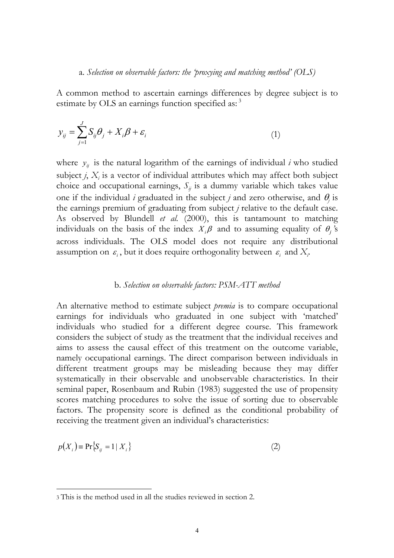A common method to ascertain earnings differences by degree subject is to estimate by OLS an earnings function specified as:<sup>3</sup>

$$
y_{ij} = \sum_{j=1}^{J} S_{ij} \theta_j + X_i \beta + \varepsilon_i \tag{1}
$$

where  $y_{ij}$  is the natural logarithm of the earnings of individual *i* who studied subject  $j$ ,  $X_i$  is a vector of individual attributes which may affect both subject choice and occupational earnings,  $S_{ij}$  is a dummy variable which takes value one if the individual *i* graduated in the subject *j* and zero otherwise, and  $\theta$  is the earnings premium of graduating from subject *j* relative to the default case. As observed by Blundell *et al.* (2000), this is tantamount to matching individuals on the basis of the index  $X_i\beta$  and to assuming equality of  $\theta_i$ 's across individuals. The OLS model does not require any distributional assumption on  $\varepsilon_i$ , but it does require orthogonality between  $\varepsilon_i$  and  $X_i$ .

#### b. *Selection on observable factors: PSM-ATT method*

An alternative method to estimate subject *premia* is to compare occupational earnings for individuals who graduated in one subject with 'matched' individuals who studied for a different degree course. This framework considers the subject of study as the treatment that the individual receives and aims to assess the causal effect of this treatment on the outcome variable, namely occupational earnings. The direct comparison between individuals in different treatment groups may be misleading because they may differ systematically in their observable and unobservable characteristics. In their seminal paper, Rosenbaum and Rubin (1983) suggested the use of propensity scores matching procedures to solve the issue of sorting due to observable factors. The propensity score is defined as the conditional probability of receiving the treatment given an individual's characteristics:

$$
p(X_i) = \Pr\{S_{ij} = 1 \mid X_i\} \tag{2}
$$

<span id="page-6-0"></span><sup>3</sup> This is the method used in all the studies reviewed in section 2.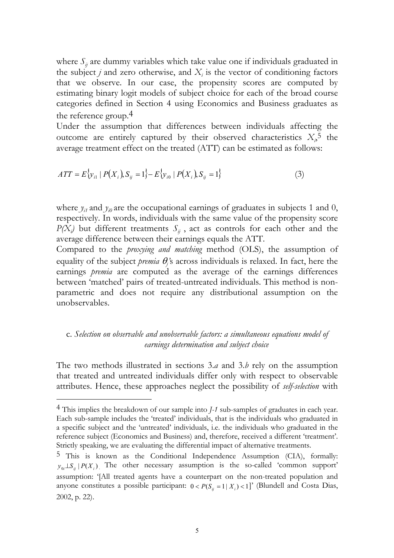where  $S_{ij}$  are dummy variables which take value one if individuals graduated in the subject  $j$  and zero otherwise, and  $X_i$  is the vector of conditioning factors that we observe. In our case, the propensity scores are computed by estimating binary logit models of subject choice for each of the broad course categories defined in Section 4 using Economics and Business graduates as the reference group[.4](#page-7-0)

Under the assumption that differences between individuals affecting the outcome are entirely captured by their observed characteristics  $X<sub>i</sub>$ <sup>5</sup> the average treatment effect on the treated (ATT) can be estimated as follows:

$$
ATT = E\{y_{i1} | P(X_i), S_{ij} = 1\} - E\{y_{i0} | P(X_i), S_{ij} = 1\}
$$
\n(3)

where  $y_{i1}$  and  $y_{i0}$  are the occupational earnings of graduates in subjects 1 and 0, respectively. In words, individuals with the same value of the propensity score  $P(X_i)$  but different treatments  $S_{ij}$ , act as controls for each other and the average difference between their earnings equals the ATT.

Compared to the *proxying and matching* method (OLS), the assumption of equality of the subject *premia* <sup>θ</sup>*<sup>j</sup> '*s across individuals is relaxed. In fact, here the earnings *premia* are computed as the average of the earnings differences between 'matched' pairs of treated-untreated individuals. This method is nonparametric and does not require any distributional assumption on the unobservables.

#### c. *Selection on observable and unobservable factors: a simultaneous equations model of earnings determination and subject choice*

The two methods illustrated in sections 3.*a* and 3.*b* rely on the assumption that treated and untreated individuals differ only with respect to observable attributes. Hence, these approaches neglect the possibility of *self-selection* with

<span id="page-7-0"></span><sup>4</sup> This implies the breakdown of our sample into *J-1* sub-samples of graduates in each year. Each sub-sample includes the 'treated' individuals, that is the individuals who graduated in a specific subject and the 'untreated' individuals, i.e. the individuals who graduated in the reference subject (Economics and Business) and, therefore, received a different 'treatment'. Strictly speaking, we are evaluating the differential impact of alternative treatments.

<span id="page-7-1"></span><sup>5</sup> This is known as the Conditional Independence Assumption (CIA), formally:  $y_{0i} \perp S_{ii}$   $|P(X_i)|$ . The other necessary assumption is the so-called 'common support' assumption: '[All treated agents have a counterpart on the non-treated population and anyone constitutes a possible participant:  $0 < P(S<sub>i</sub> = 1 | X<sub>i</sub>) < 1$ <sup>'</sup> (Blundell and Costa Dias, 2002, p. 22).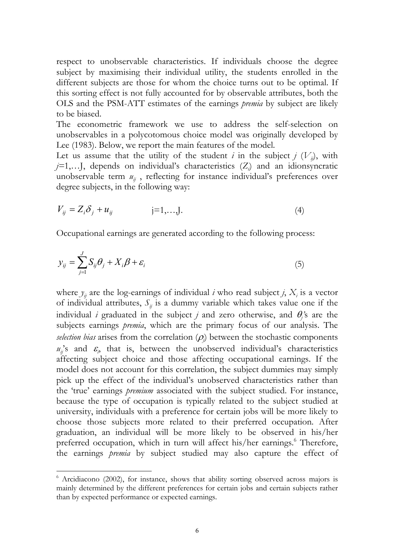respect to unobservable characteristics. If individuals choose the degree subject by maximising their individual utility, the students enrolled in the different subjects are those for whom the choice turns out to be optimal. If this sorting effect is not fully accounted for by observable attributes, both the OLS and the PSM-ATT estimates of the earnings *premia* by subject are likely to be biased.

The econometric framework we use to address the self-selection on unobservables in a polycotomous choice model was originally developed by Lee (1983). Below, we report the main features of the model.

Let us assume that the utility of the student *i* in the subject *j*  $(V_{ii})$ , with *j=*1,…J, depends on individual's characteristics (*Zi* ) and an idionsyncratic unobservable term  $u_{ij}$ , reflecting for instance individual's preferences over degree subjects, in the following way:

$$
V_{ij} = Z_i \delta_j + u_{ij} \qquad j=1,...,J. \qquad (4)
$$

Occupational earnings are generated according to the following process:

$$
y_{ij} = \sum_{j=1}^{J} S_{ij} \theta_j + X_i \beta + \varepsilon_i \tag{5}
$$

where  $y_{ij}$  are the log-earnings of individual *i* who read subject *j*,  $X_i$  is a vector of individual attributes,  $S_{ij}$  is a dummy variable which takes value one if the individual *i* graduated in the subject *j* and zero otherwise, and  $\theta_j$ 's are the subjects earnings *premia*, which are the primary focus of our analysis. The *selection bias* arises from the correlation  $(\rho_j)$  between the stochastic components  $u_{ij}$ 's and  $\varepsilon$ <sub>i</sub>, that is, between the unobserved individual's characteristics affecting subject choice and those affecting occupational earnings. If the model does not account for this correlation, the subject dummies may simply pick up the effect of the individual's unobserved characteristics rather than the 'true' earnings *premium* associated with the subject studied. For instance, because the type of occupation is typically related to the subject studied at university, individuals with a preference for certain jobs will be more likely to choose those subjects more related to their preferred occupation. After graduation, an individual will be more likely to be observed in his/her preferred occupation, which in turn will affect his/her earnings.<sup>6</sup> Therefore, the earnings *premia* by subject studied may also capture the effect of

<span id="page-8-0"></span> $6$  Arcidiacono (2002), for instance, shows that ability sorting observed across majors is mainly determined by the different preferences for certain jobs and certain subjects rather than by expected performance or expected earnings.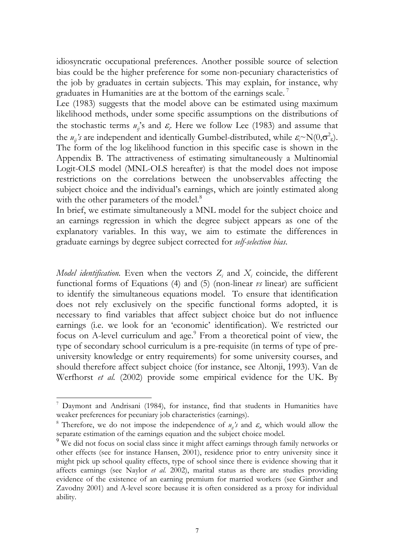idiosyncratic occupational preferences. Another possible source of selection bias could be the higher preference for some non-pecuniary characteristics of the job by graduates in certain subjects. This may explain, for instance, why graduates in Humanities are at the bottom of the earnings scale.<sup>7</sup>

Lee (1983) suggests that the model above can be estimated using maximum likelihood methods, under some specific assumptions on the distributions of the stochastic terms  $u_j$ 's and  $\varepsilon_j$ . Here we follow Lee (1983) and assume that the  $u_{ij}$ 's are independent and identically Gumbel-distributed, while  $\varepsilon_i \sim N(0, \sigma^2)$ . The form of the log likelihood function in this specific case is shown in the Appendix B. The attractiveness of estimating simultaneously a Multinomial Logit-OLS model (MNL-OLS hereafter) is that the model does not impose restrictions on the correlations between the unobservables affecting the subject choice and the individual's earnings, which are jointly estimated along with the other parameters of the model.<sup>[8](#page-9-1)</sup>

In brief, we estimate simultaneously a MNL model for the subject choice and an earnings regression in which the degree subject appears as one of the explanatory variables. In this way, we aim to estimate the differences in graduate earnings by degree subject corrected for *self-selection bias*.

*Model identification*. Even when the vectors  $Z_i$  and  $X_i$  coincide, the different functional forms of Equations (4) and (5) (non-linear *vs* linear) are sufficient to identify the simultaneous equations model. To ensure that identification does not rely exclusively on the specific functional forms adopted, it is necessary to find variables that affect subject choice but do not influence earnings (i.e. we look for an 'economic' identification). We restricted our focus on A-level curriculum and age.<sup>9</sup> From a theoretical point of view, the type of secondary school curriculum is a pre-requisite (in terms of type of preuniversity knowledge or entry requirements) for some university courses, and should therefore affect subject choice (for instance, see Altonji, 1993). Van de Werfhorst *et al.* (2002) provide some empirical evidence for the UK. By

<span id="page-9-0"></span><sup>7</sup> Daymont and Andrisani (1984), for instance, find that students in Humanities have weaker preferences for pecuniary job characteristics (earnings).

<span id="page-9-1"></span><sup>&</sup>lt;sup>8</sup> Therefore, we do not impose the independence of  $u_{ij}$ 's and  $\varepsilon$ <sub>i</sub>, which would allow the separate estimation of the earnings equation and the subject choice model.

<span id="page-9-2"></span><sup>&</sup>lt;sup>9</sup> We did not focus on social class since it might affect earnings through family networks or other effects (see for instance Hansen, 2001), residence prior to entry university since it might pick up school quality effects, type of school since there is evidence showing that it affects earnings (see Naylor *et al.* 2002), marital status as there are studies providing evidence of the existence of an earning premium for married workers (see Ginther and Zavodny 2001) and A-level score because it is often considered as a proxy for individual ability.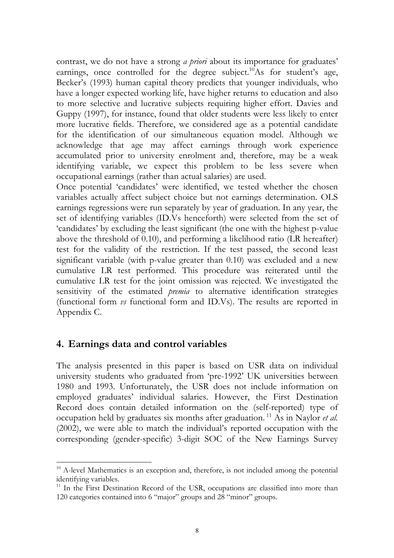contrast, we do not have a strong *a priori* about its importance for graduates' earnings, once controlled for the degree subject.<sup>10</sup>As for student's age, Becker's (1993) human capital theory predicts that younger individuals, who have a longer expected working life, have higher returns to education and also to more selective and lucrative subjects requiring higher effort. Davies and Guppy (1997), for instance, found that older students were less likely to enter more lucrative fields. Therefore, we considered age as a potential candidate for the identification of our simultaneous equation model. Although we acknowledge that age may affect earnings through work experience accumulated prior to university enrolment and, therefore, may be a weak identifying variable, we expect this problem to be less severe when occupational earnings (rather than actual salaries) are used.

Once potential 'candidates' were identified, we tested whether the chosen variables actually affect subject choice but not earnings determination. OLS earnings regressions were run separately by year of graduation. In any year, the set of identifying variables (ID.Vs henceforth) were selected from the set of 'candidates' by excluding the least significant (the one with the highest p-value above the threshold of 0.10), and performing a likelihood ratio (LR hereafter) test for the validity of the restriction. If the test passed, the second least significant variable (with p-value greater than 0.10) was excluded and a new cumulative LR test performed. This procedure was reiterated until the cumulative LR test for the joint omission was rejected. We investigated the sensitivity of the estimated *premia* to alternative identification strategies (functional form *vs* functional form and ID.Vs). The results are reported in Appendix C.

### **4. Earnings data and control variables**

 $\overline{a}$ 

The analysis presented in this paper is based on USR data on individual university students who graduated from 'pre-1992' UK universities between 1980 and 1993. Unfortunately, the USR does not include information on employed graduates' individual salaries. However, the First Destination Record does contain detailed information on the (self-reported) type of occupation held by graduates six months after graduation. [11](#page-10-1) As in Naylor *et al.* (2002), we were able to match the individual's reported occupation with the corresponding (gender-specific) 3-digit SOC of the New Earnings Survey

<span id="page-10-0"></span> $10$  A-level Mathematics is an exception and, therefore, is not included among the potential identifying variables.

<span id="page-10-1"></span> $11$  In the First Destination Record of the USR, occupations are classified into more than 120 categories contained into 6 "major" groups and 28 "minor" groups.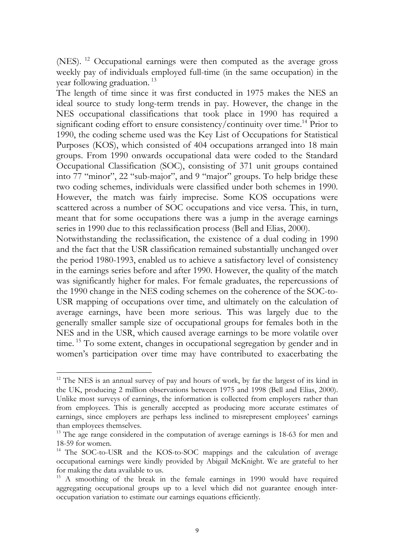(NES). <sup>12</sup> Occupational earnings were then computed as the average gross weekly pay of individuals employed full-time (in the same occupation) in the year following graduation.<sup>13</sup>

The length of time since it was first conducted in 1975 makes the NES an ideal source to study long-term trends in pay. However, the change in the NES occupational classifications that took place in 1990 has required a significant coding effort to ensure consistency/continuity over time.<sup>14</sup> Prior to 1990, the coding scheme used was the Key List of Occupations for Statistical Purposes (KOS), which consisted of 404 occupations arranged into 18 main groups. From 1990 onwards occupational data were coded to the Standard Occupational Classification (SOC), consisting of 371 unit groups contained into 77 "minor", 22 "sub-major", and 9 "major" groups. To help bridge these two coding schemes, individuals were classified under both schemes in 1990. However, the match was fairly imprecise. Some KOS occupations were scattered across a number of SOC occupations and vice versa. This, in turn, meant that for some occupations there was a jump in the average earnings series in 1990 due to this reclassification process (Bell and Elias, 2000).

Notwithstanding the reclassification, the existence of a dual coding in 1990 and the fact that the USR classification remained substantially unchanged over the period 1980-1993, enabled us to achieve a satisfactory level of consistency in the earnings series before and after 1990. However, the quality of the match was significantly higher for males. For female graduates, the repercussions of the 1990 change in the NES coding schemes on the coherence of the SOC-to-USR mapping of occupations over time, and ultimately on the calculation of average earnings, have been more serious. This was largely due to the generally smaller sample size of occupational groups for females both in the NES and in the USR, which caused average earnings to be more volatile over time. <sup>15</sup> To some extent, changes in occupational segregation by gender and in women's participation over time may have contributed to exacerbating the

<span id="page-11-0"></span> $\overline{a}$ <sup>12</sup> The NES is an annual survey of pay and hours of work, by far the largest of its kind in the UK, producing 2 million observations between 1975 and 1998 (Bell and Elias, 2000). Unlike most surveys of earnings, the information is collected from employers rather than from employees. This is generally accepted as producing more accurate estimates of earnings, since employers are perhaps less inclined to misrepresent employees' earnings than employees themselves.

<span id="page-11-1"></span> $13$  The age range considered in the computation of average earnings is 18-63 for men and 18-59 for women.

<span id="page-11-2"></span><sup>&</sup>lt;sup>14</sup> The SOC-to-USR and the KOS-to-SOC mappings and the calculation of average occupational earnings were kindly provided by Abigail McKnight. We are grateful to her for making the data available to us.

<span id="page-11-3"></span><sup>&</sup>lt;sup>15</sup> A smoothing of the break in the female earnings in 1990 would have required aggregating occupational groups up to a level which did not guarantee enough interoccupation variation to estimate our earnings equations efficiently.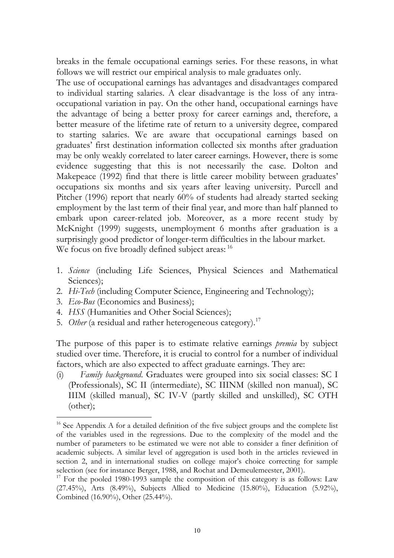breaks in the female occupational earnings series. For these reasons, in what follows we will restrict our empirical analysis to male graduates only.

The use of occupational earnings has advantages and disadvantages compared to individual starting salaries. A clear disadvantage is the loss of any intraoccupational variation in pay. On the other hand, occupational earnings have the advantage of being a better proxy for career earnings and, therefore, a better measure of the lifetime rate of return to a university degree, compared to starting salaries. We are aware that occupational earnings based on graduates' first destination information collected six months after graduation may be only weakly correlated to later career earnings. However, there is some evidence suggesting that this is not necessarily the case. Dolton and Makepeace (1992) find that there is little career mobility between graduates' occupations six months and six years after leaving university. Purcell and Pitcher (1996) report that nearly 60% of students had already started seeking employment by the last term of their final year, and more than half planned to embark upon career-related job. Moreover, as a more recent study by McKnight (1999) suggests, unemployment 6 months after graduation is a surprisingly good predictor of longer-term difficulties in the labour market. We focus on five broadly defined subject areas: <sup>16</sup>

- 1. *Science* (including Life Sciences, Physical Sciences and Mathematical Sciences);
- 2. *Hi-Tech* (including Computer Science, Engineering and Technology);
- 3. *Eco-Bus* (Economics and Business);

 $\overline{a}$ 

- 4. *HSS* (Humanities and Other Social Sciences);
- 5. Other (a residual and rather heterogeneous category).<sup>[17](#page-12-1)</sup>

The purpose of this paper is to estimate relative earnings *premia* by subject studied over time. Therefore, it is crucial to control for a number of individual factors, which are also expected to affect graduate earnings. They are:

(i) *Family background*. Graduates were grouped into six social classes: SC I (Professionals), SC II (intermediate), SC IIINM (skilled non manual), SC IIIM (skilled manual), SC IV-V (partly skilled and unskilled), SC OTH (other);

<span id="page-12-0"></span><sup>&</sup>lt;sup>16</sup> See Appendix A for a detailed definition of the five subject groups and the complete list of the variables used in the regressions. Due to the complexity of the model and the number of parameters to be estimated we were not able to consider a finer definition of academic subjects. A similar level of aggregation is used both in the articles reviewed in section 2, and in international studies on college major's choice correcting for sample selection (see for instance Berger, 1988, and Rochat and Demeulemeester, 2001).

<span id="page-12-1"></span> $17$  For the pooled 1980-1993 sample the composition of this category is as follows: Law (27.45%), Arts (8.49%), Subjects Allied to Medicine (15.80%), Education (5.92%), Combined (16.90%), Other (25.44%).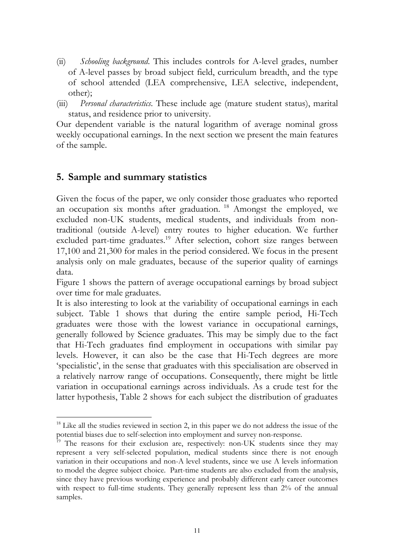- (ii) *Schooling background*. This includes controls for A-level grades, number of A-level passes by broad subject field, curriculum breadth, and the type of school attended (LEA comprehensive, LEA selective, independent, other);
- (iii) *Personal characteristics*. These include age (mature student status), marital status, and residence prior to university.

Our dependent variable is the natural logarithm of average nominal gross weekly occupational earnings. In the next section we present the main features of the sample.

# **5. Sample and summary statistics**

 $\overline{a}$ 

Given the focus of the paper, we only consider those graduates who reported an occupation six months after graduation.<sup>18</sup> Amongst the employed, we excluded non-UK students, medical students, and individuals from nontraditional (outside A-level) entry routes to higher education. We further excluded part-time graduates.<sup>19</sup> After selection, cohort size ranges between 17,100 and 21,300 for males in the period considered. We focus in the present analysis only on male graduates, because of the superior quality of earnings data.

Figure 1 shows the pattern of average occupational earnings by broad subject over time for male graduates.

It is also interesting to look at the variability of occupational earnings in each subject. Table 1 shows that during the entire sample period, Hi-Tech graduates were those with the lowest variance in occupational earnings, generally followed by Science graduates. This may be simply due to the fact that Hi-Tech graduates find employment in occupations with similar pay levels. However, it can also be the case that Hi-Tech degrees are more 'specialistic', in the sense that graduates with this specialisation are observed in a relatively narrow range of occupations. Consequently, there might be little variation in occupational earnings across individuals. As a crude test for the latter hypothesis, Table 2 shows for each subject the distribution of graduates

<span id="page-13-0"></span> $18$  Like all the studies reviewed in section 2, in this paper we do not address the issue of the potential biases due to self-selection into employment and survey non-response.

<span id="page-13-1"></span><sup>&</sup>lt;sup>19</sup> The reasons for their exclusion are, respectively: non-UK students since they may represent a very self-selected population, medical students since there is not enough variation in their occupations and non-A level students, since we use A levels information to model the degree subject choice. Part-time students are also excluded from the analysis, since they have previous working experience and probably different early career outcomes with respect to full-time students. They generally represent less than 2% of the annual samples.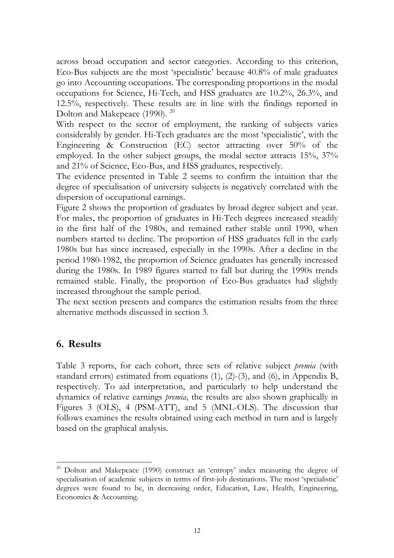across broad occupation and sector categories. According to this criterion, Eco-Bus subjects are the most 'specialistic' because 40.8% of male graduates go into Accounting occupations. The corresponding proportions in the modal occupations for Science, Hi-Tech, and HSS graduates are 10.2%, 26.3%, and 12.5%, respectively. These results are in line with the findings reported in Dolton and Makepeace (1990). <sup>[20](#page-14-0)</sup>

With respect to the sector of employment, the ranking of subjects varies considerably by gender. Hi-Tech graduates are the most 'specialistic', with the Engineering & Construction (EC) sector attracting over 50% of the employed. In the other subject groups, the modal sector attracts 15%, 37% and 21% of Science, Eco-Bus, and HSS graduates, respectively.

The evidence presented in Table 2 seems to confirm the intuition that the degree of specialisation of university subjects is negatively correlated with the dispersion of occupational earnings.

Figure 2 shows the proportion of graduates by broad degree subject and year. For males, the proportion of graduates in Hi-Tech degrees increased steadily in the first half of the 1980s, and remained rather stable until 1990, when numbers started to decline. The proportion of HSS graduates fell in the early 1980s but has since increased, especially in the 1990s. After a decline in the period 1980-1982, the proportion of Science graduates has generally increased during the 1980s. In 1989 figures started to fall but during the 1990s trends remained stable. Finally, the proportion of Eco-Bus graduates had slightly increased throughout the sample period.

The next section presents and compares the estimation results from the three alternative methods discussed in section 3.

### **6. Results**

Table 3 reports, for each cohort, three sets of relative subject *premia* (with standard errors) estimated from equations (1), (2)-(3), and (6), in Appendix B, respectively. To aid interpretation, and particularly to help understand the dynamics of relative earnings *premia*, the results are also shown graphically in Figures 3 (OLS), 4 (PSM-ATT), and 5 (MNL-OLS). The discussion that follows examines the results obtained using each method in turn and is largely based on the graphical analysis.

<span id="page-14-0"></span> $\overline{a}$  $20$  Dolton and Makepeace (1990) construct an 'entropy' index measuring the degree of specialisation of academic subjects in terms of first-job destinations. The most 'specialistic' degrees were found to be, in decreasing order, Education, Law, Health, Engineering, Economics & Accounting.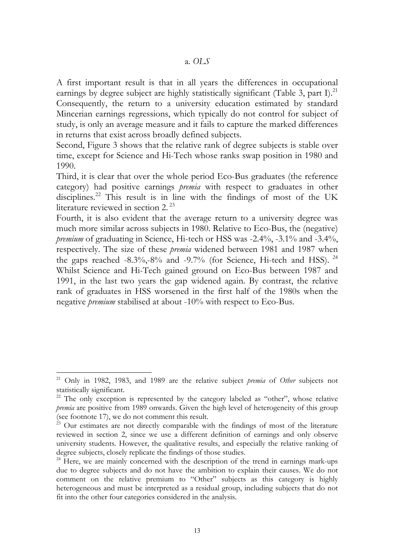A first important result is that in all years the differences in occupational earnings by degree subject are highly statistically significant (Table 3, part I).<sup>[21](#page-15-0)</sup>

Consequently, the return to a university education estimated by standard Mincerian earnings regressions, which typically do not control for subject of study, is only an average measure and it fails to capture the marked differences in returns that exist across broadly defined subjects.

Second, Figure 3 shows that the relative rank of degree subjects is stable over time, except for Science and Hi-Tech whose ranks swap position in 1980 and 1990.

Third, it is clear that over the whole period Eco-Bus graduates (the reference category) had positive earnings *premia* with respect to graduates in other disciplines.<sup>22</sup> This result is in line with the findings of most of the UK literature reviewed in section 2. [23](#page-15-2)

Fourth, it is also evident that the average return to a university degree was much more similar across subjects in 1980. Relative to Eco-Bus, the (negative) *premium* of graduating in Science, Hi-tech or HSS was -2.4%, -3.1% and -3.4%, respectively. The size of these *premia* widened between 1981 and 1987 when the gaps reached  $-8.3\%$ ,  $-8\%$  and  $-9.7\%$  (for Science, Hi-tech and HSS). <sup>[24](#page-15-3)</sup> Whilst Science and Hi-Tech gained ground on Eco-Bus between 1987 and 1991, in the last two years the gap widened again. By contrast, the relative rank of graduates in HSS worsened in the first half of the 1980s when the negative *premium* stabilised at about -10% with respect to Eco-Bus.

<span id="page-15-0"></span><sup>21</sup> Only in 1982, 1983, and 1989 are the relative subject *premia* of *Other* subjects not statistically significant.

<span id="page-15-1"></span><sup>&</sup>lt;sup>22</sup> The only exception is represented by the category labeled as "other", whose relative *premia* are positive from 1989 onwards. Given the high level of heterogeneity of this group (see footnote 17), we do not comment this result.

<span id="page-15-2"></span> $23$  Our estimates are not directly comparable with the findings of most of the literature reviewed in section 2, since we use a different definition of earnings and only observe university students. However, the qualitative results, and especially the relative ranking of degree subjects, closely replicate the findings of those studies.

<span id="page-15-3"></span><sup>&</sup>lt;sup>24</sup> Here, we are mainly concerned with the description of the trend in earnings mark-ups due to degree subjects and do not have the ambition to explain their causes. We do not comment on the relative premium to "Other" subjects as this category is highly heterogeneous and must be interpreted as a residual group, including subjects that do not fit into the other four categories considered in the analysis.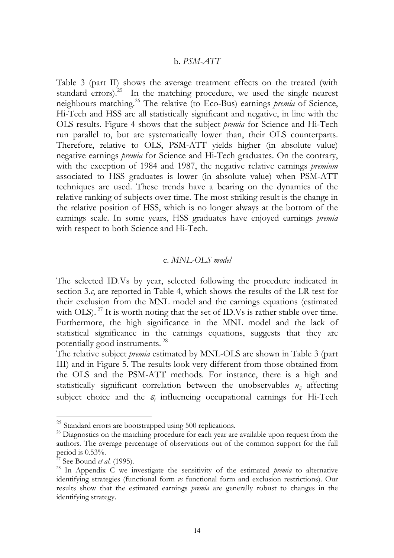#### b. *PSM-ATT*

Table 3 (part II) shows the average treatment effects on the treated (with standard errors).<sup>25</sup> In the matching procedure, we used the single nearest neighbours matching[.26](#page-16-1) The relative (to Eco-Bus) earnings *premia* of Science, Hi-Tech and HSS are all statistically significant and negative, in line with the OLS results. Figure 4 shows that the subject *premia* for Science and Hi-Tech run parallel to, but are systematically lower than, their OLS counterparts. Therefore, relative to OLS, PSM-ATT yields higher (in absolute value) negative earnings *premia* for Science and Hi-Tech graduates. On the contrary, with the exception of 1984 and 1987, the negative relative earnings *premium* associated to HSS graduates is lower (in absolute value) when PSM-ATT techniques are used. These trends have a bearing on the dynamics of the relative ranking of subjects over time. The most striking result is the change in the relative position of HSS, which is no longer always at the bottom of the earnings scale. In some years, HSS graduates have enjoyed earnings *premia* with respect to both Science and Hi-Tech.

#### c. *MNL-OLS model*

The selected ID.Vs by year, selected following the procedure indicated in section 3.*c*, are reported in Table 4, which shows the results of the LR test for their exclusion from the MNL model and the earnings equations (estimated with OLS). <sup>27</sup> It is worth noting that the set of ID. Vs is rather stable over time. Furthermore, the high significance in the MNL model and the lack of statistical significance in the earnings equations, suggests that they are potentially good instruments. [28](#page-16-3)

The relative subject *premia* estimated by MNL-OLS are shown in Table 3 (part III) and in Figure 5. The results look very different from those obtained from the OLS and the PSM-ATT methods. For instance, there is a high and statistically significant correlation between the unobservables  $u_{ij}$  affecting subject choice and the  $\varepsilon$ <sub>i</sub> influencing occupational earnings for Hi-Tech

<span id="page-16-0"></span><sup>&</sup>lt;sup>25</sup> Standard errors are bootstrapped using 500 replications.

<span id="page-16-1"></span><sup>&</sup>lt;sup>26</sup> Diagnostics on the matching procedure for each year are available upon request from the authors. The average percentage of observations out of the common support for the full period is 0.53%.

<span id="page-16-2"></span><sup>27</sup> See Bound *et al.* (1995).

<span id="page-16-3"></span><sup>&</sup>lt;sup>28</sup> In Appendix C we investigate the sensitivity of the estimated *premia* to alternative identifying strategies (functional form *vs* functional form and exclusion restrictions). Our results show that the estimated earnings *premia* are generally robust to changes in the identifying strategy.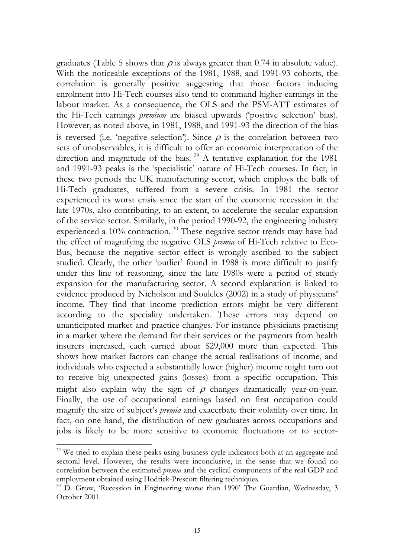graduates (Table 5 shows that  $\rho$  is always greater than 0.74 in absolute value). With the noticeable exceptions of the 1981, 1988, and 1991-93 cohorts, the correlation is generally positive suggesting that those factors inducing enrolment into Hi-Tech courses also tend to command higher earnings in the labour market. As a consequence, the OLS and the PSM-ATT estimates of the Hi-Tech earnings *premium* are biased upwards ('positive selection' bias). However, as noted above, in 1981, 1988, and 1991-93 the direction of the bias is reversed (i.e. 'negative selection'). Since  $\rho$  is the correlation between two sets of unobservables, it is difficult to offer an economic interpretation of the direction and magnitude of the bias.<sup>29</sup> A tentative explanation for the 1981 and 1991-93 peaks is the 'specialistic' nature of Hi-Tech courses. In fact, in these two periods the UK manufacturing sector, which employs the bulk of Hi-Tech graduates, suffered from a severe crisis. In 1981 the sector experienced its worst crisis since the start of the economic recession in the late 1970s, also contributing, to an extent, to accelerate the secular expansion of the service sector. Similarly, in the period 1990-92, the engineering industry experienced a 10% contraction.<sup>30</sup> These negative sector trends may have had the effect of magnifying the negative OLS *premia* of Hi-Tech relative to Eco-Bus, because the negative sector effect is wrongly ascribed to the subject studied. Clearly, the other 'outlier' found in 1988 is more difficult to justify under this line of reasoning, since the late 1980s were a period of steady expansion for the manufacturing sector. A second explanation is linked to evidence produced by Nicholson and Souleles (2002) in a study of physicians' income. They find that income prediction errors might be very different according to the speciality undertaken. These errors may depend on unanticipated market and practice changes. For instance physicians practising in a market where the demand for their services or the payments from health insurers increased, each earned about \$29,000 more than expected. This shows how market factors can change the actual realisations of income, and individuals who expected a substantially lower (higher) income might turn out to receive big unexpected gains (losses) from a specific occupation. This might also explain why the sign of  $\rho$  changes dramatically year-on-year. Finally, the use of occupational earnings based on first occupation could magnify the size of subject's *premia* and exacerbate their volatility over time. In fact, on one hand, the distribution of new graduates across occupations and jobs is likely to be more sensitive to economic fluctuations or to sector-

<span id="page-17-0"></span><sup>&</sup>lt;sup>29</sup> We tried to explain these peaks using business cycle indicators both at an aggregate and sectoral level. However, the results were inconclusive, in the sense that we found no correlation between the estimated *premia* and the cyclical components of the real GDP and employment obtained using Hodrick-Prescott filtering techniques.

<span id="page-17-1"></span><sup>&</sup>lt;sup>30</sup> D. Grow, 'Recession in Engineering worse than 1990' The Guardian, Wednesday, 3 October 2001.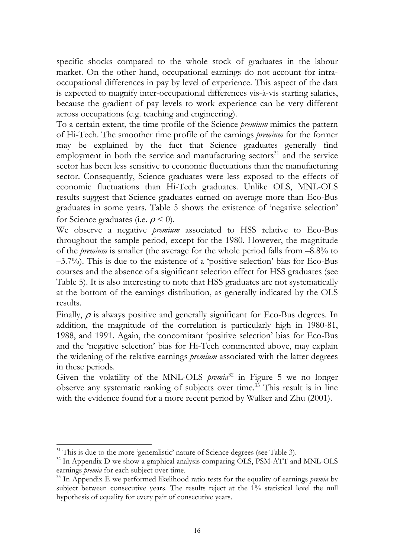specific shocks compared to the whole stock of graduates in the labour market. On the other hand, occupational earnings do not account for intraoccupational differences in pay by level of experience. This aspect of the data is expected to magnify inter-occupational differences vis-à-vis starting salaries, because the gradient of pay levels to work experience can be very different across occupations (e.g. teaching and engineering).

To a certain extent, the time profile of the Science *premium* mimics the pattern of Hi-Tech. The smoother time profile of the earnings *premium* for the former may be explained by the fact that Science graduates generally find employment in both the service and manufacturing sectors $31$  and the service sector has been less sensitive to economic fluctuations than the manufacturing sector. Consequently, Science graduates were less exposed to the effects of economic fluctuations than Hi-Tech graduates. Unlike OLS, MNL-OLS results suggest that Science graduates earned on average more than Eco-Bus graduates in some years. Table 5 shows the existence of 'negative selection' for Science graduates (i.e.  $\rho$  < 0).

We observe a negative *premium* associated to HSS relative to Eco-Bus throughout the sample period, except for the 1980. However, the magnitude of the *premium* is smaller (the average for the whole period falls from –8.8% to –3.7%). This is due to the existence of a 'positive selection' bias for Eco-Bus courses and the absence of a significant selection effect for HSS graduates (see Table 5). It is also interesting to note that HSS graduates are not systematically at the bottom of the earnings distribution, as generally indicated by the OLS results.

Finally,  $\rho$  is always positive and generally significant for Eco-Bus degrees. In addition, the magnitude of the correlation is particularly high in 1980-81, 1988, and 1991. Again, the concomitant 'positive selection' bias for Eco-Bus and the 'negative selection' bias for Hi-Tech commented above, may explain the widening of the relative earnings *premium* associated with the latter degrees in these periods.

Given the volatility of the MNL-OLS *premia*<sup>[32](#page-18-1)</sup> in Figure 5 we no longer observe any systematic ranking of subjects over time[.33](#page-18-2) This result is in line with the evidence found for a more recent period by Walker and Zhu (2001).

<span id="page-18-0"></span> $31$ <sup>31</sup> This is due to the more 'generalistic' nature of Science degrees (see Table 3).

<span id="page-18-1"></span><sup>&</sup>lt;sup>32</sup> In Appendix D we show a graphical analysis comparing OLS, PSM-ATT and MNL-OLS earnings *premia* for each subject over time.

<span id="page-18-2"></span><sup>33</sup> In Appendix E we performed likelihood ratio tests for the equality of earnings *premia* by subject between consecutive years. The results reject at the 1% statistical level the null hypothesis of equality for every pair of consecutive years.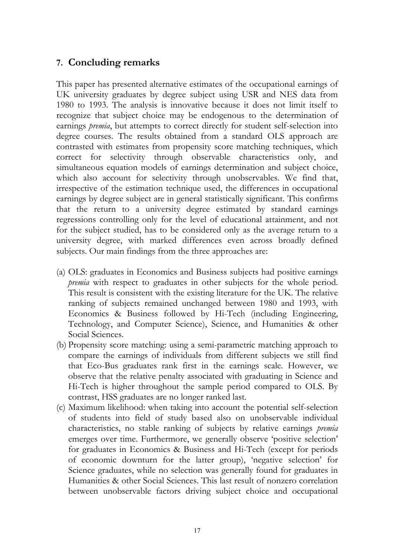## **7. Concluding remarks**

This paper has presented alternative estimates of the occupational earnings of UK university graduates by degree subject using USR and NES data from 1980 to 1993. The analysis is innovative because it does not limit itself to recognize that subject choice may be endogenous to the determination of earnings *premia*, but attempts to correct directly for student self-selection into degree courses. The results obtained from a standard OLS approach are contrasted with estimates from propensity score matching techniques, which correct for selectivity through observable characteristics only, and simultaneous equation models of earnings determination and subject choice, which also account for selectivity through unobservables. We find that, irrespective of the estimation technique used, the differences in occupational earnings by degree subject are in general statistically significant. This confirms that the return to a university degree estimated by standard earnings regressions controlling only for the level of educational attainment, and not for the subject studied, has to be considered only as the average return to a university degree, with marked differences even across broadly defined subjects. Our main findings from the three approaches are:

- (a) OLS: graduates in Economics and Business subjects had positive earnings *premia* with respect to graduates in other subjects for the whole period. This result is consistent with the existing literature for the UK. The relative ranking of subjects remained unchanged between 1980 and 1993, with Economics & Business followed by Hi-Tech (including Engineering, Technology, and Computer Science), Science, and Humanities & other Social Sciences.
- (b) Propensity score matching: using a semi-parametric matching approach to compare the earnings of individuals from different subjects we still find that Eco-Bus graduates rank first in the earnings scale. However, we observe that the relative penalty associated with graduating in Science and Hi-Tech is higher throughout the sample period compared to OLS. By contrast, HSS graduates are no longer ranked last.
- (c) Maximum likelihood: when taking into account the potential self-selection of students into field of study based also on unobservable individual characteristics, no stable ranking of subjects by relative earnings *premia* emerges over time. Furthermore, we generally observe 'positive selection' for graduates in Economics & Business and Hi-Tech (except for periods of economic downturn for the latter group), 'negative selection' for Science graduates, while no selection was generally found for graduates in Humanities & other Social Sciences. This last result of nonzero correlation between unobservable factors driving subject choice and occupational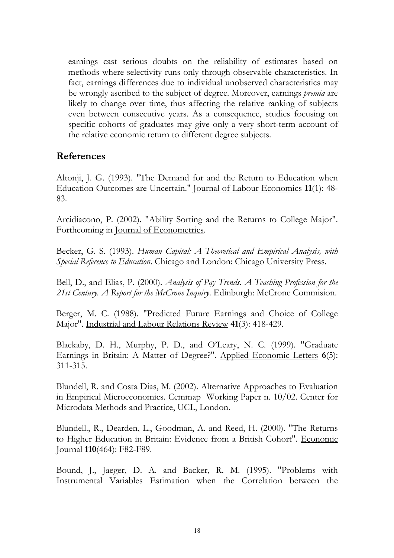earnings cast serious doubts on the reliability of estimates based on methods where selectivity runs only through observable characteristics. In fact, earnings differences due to individual unobserved characteristics may be wrongly ascribed to the subject of degree. Moreover, earnings *premia* are likely to change over time, thus affecting the relative ranking of subjects even between consecutive years. As a consequence, studies focusing on specific cohorts of graduates may give only a very short-term account of the relative economic return to different degree subjects.

### **References**

Altonji, J. G. (1993). "The Demand for and the Return to Education when Education Outcomes are Uncertain." Journal of Labour Economics **11**(1): 48- 83.

Arcidiacono, P. (2002). "Ability Sorting and the Returns to College Major". Forthcoming in Journal of Econometrics.

Becker, G. S. (1993). *Human Capital: A Theoretical and Empirical Analysis, with Special Reference to Education*. Chicago and London: Chicago University Press.

Bell, D., and Elias, P. (2000). *Analysis of Pay Trends. A Teaching Profession for the 21st Century. A Report for the McCrone Inquiry*. Edinburgh: McCrone Commision.

Berger, M. C. (1988). "Predicted Future Earnings and Choice of College Major". Industrial and Labour Relations Review **41**(3): 418-429.

Blackaby, D. H., Murphy, P. D., and O'Leary, N. C. (1999). "Graduate Earnings in Britain: A Matter of Degree?". Applied Economic Letters **6**(5): 311-315.

Blundell, R. and Costa Dias, M. (2002). Alternative Approaches to Evaluation in Empirical Microeconomics. Cemmap Working Paper n. 10/02. Center for Microdata Methods and Practice, UCL, London.

Blundell., R., Dearden, L., Goodman, A. and Reed, H. (2000). "The Returns to Higher Education in Britain: Evidence from a British Cohort". Economic Journal **110**(464): F82-F89.

Bound, J., Jaeger, D. A. and Backer, R. M. (1995). "Problems with Instrumental Variables Estimation when the Correlation between the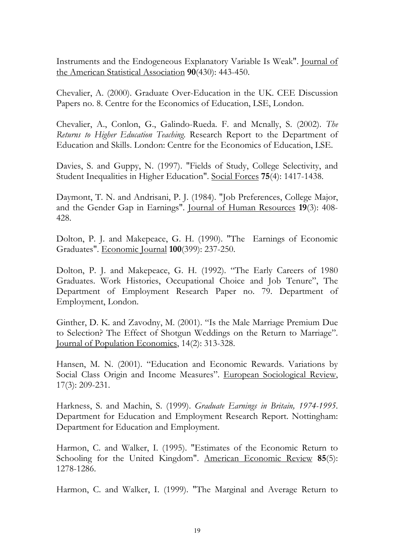Instruments and the Endogeneous Explanatory Variable Is Weak". Journal of the American Statistical Association **90**(430): 443-450.

Chevalier, A. (2000). Graduate Over-Education in the UK. CEE Discussion Papers no. 8. Centre for the Economics of Education, LSE, London.

Chevalier, A., Conlon, G., Galindo-Rueda. F. and Mcnally, S. (2002). *The Returns to Higher Education Teaching*. Research Report to the Department of Education and Skills. London: Centre for the Economics of Education, LSE.

Davies, S. and Guppy, N. (1997). "Fields of Study, College Selectivity, and Student Inequalities in Higher Education". Social Forces **75**(4): 1417-1438.

Daymont, T. N. and Andrisani, P. J. (1984). "Job Preferences, College Major, and the Gender Gap in Earnings". Journal of Human Resources **19**(3): 408- 428.

Dolton, P. J. and Makepeace, G. H. (1990). "The Earnings of Economic Graduates". Economic Journal **100**(399): 237-250.

Dolton, P. J. and Makepeace, G. H. (1992). "The Early Careers of 1980 Graduates. Work Histories, Occupational Choice and Job Tenure", The Department of Employment Research Paper no. 79. Department of Employment, London.

Ginther, D. K. and Zavodny, M. (2001). "Is the Male Marriage Premium Due to Selection? The Effect of Shotgun Weddings on the Return to Marriage". Journal of Population Economics, 14(2): 313-328.

Hansen, M. N. (2001). "Education and Economic Rewards. Variations by Social Class Origin and Income Measures". European Sociological Review, 17(3): 209-231.

Harkness, S. and Machin, S. (1999). *Graduate Earnings in Britain, 1974-1995*. Department for Education and Employment Research Report. Nottingham: Department for Education and Employment.

Harmon, C. and Walker, I. (1995). "Estimates of the Economic Return to Schooling for the United Kingdom". American Economic Review **85**(5): 1278-1286.

Harmon, C. and Walker, I. (1999). "The Marginal and Average Return to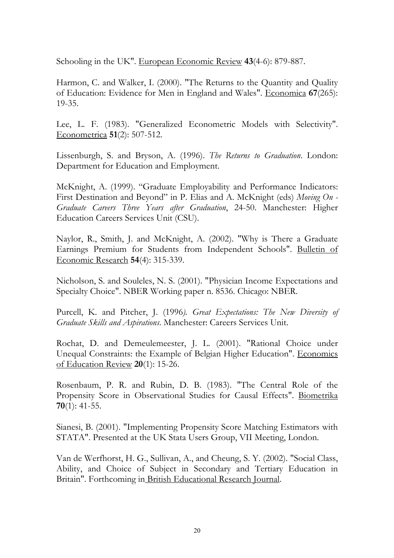Schooling in the UK". European Economic Review **43**(4-6): 879-887.

Harmon, C. and Walker, I. (2000). "The Returns to the Quantity and Quality of Education: Evidence for Men in England and Wales". Economica **67**(265): 19-35.

Lee, L. F. (1983). "Generalized Econometric Models with Selectivity". Econometrica **51**(2): 507-512.

Lissenburgh, S. and Bryson, A. (1996). *The Returns to Graduation*. London: Department for Education and Employment.

McKnight, A. (1999). "Graduate Employability and Performance Indicators: First Destination and Beyond" in P. Elias and A. McKnight (eds) *Moving On - Graduate Careers Three Years after Graduation*, 24-50. Manchester: Higher Education Careers Services Unit (CSU).

Naylor, R., Smith, J. and McKnight, A. (2002). "Why is There a Graduate Earnings Premium for Students from Independent Schools". Bulletin of Economic Research **54**(4): 315-339.

Nicholson, S. and Souleles, N. S. (2001). "Physician Income Expectations and Specialty Choice". NBER Working paper n. 8536. Chicago: NBER.

Purcell, K. and Pitcher, J. (1996*). Great Expectations: The New Diversity of Graduate Skills and Aspirations*. Manchester: Careers Services Unit.

Rochat, D. and Demeulemeester, J. L. (2001). "Rational Choice under Unequal Constraints: the Example of Belgian Higher Education". Economics of Education Review **20**(1): 15-26.

Rosenbaum, P. R. and Rubin, D. B. (1983). "The Central Role of the Propensity Score in Observational Studies for Causal Effects". Biometrika **70**(1): 41-55.

Sianesi, B. (2001). "Implementing Propensity Score Matching Estimators with STATA". Presented at the UK Stata Users Group, VII Meeting, London.

Van de Werfhorst, H. G., Sullivan, A., and Cheung, S. Y. (2002). "Social Class, Ability, and Choice of Subject in Secondary and Tertiary Education in Britain". Forthcoming in British Educational Research Journal.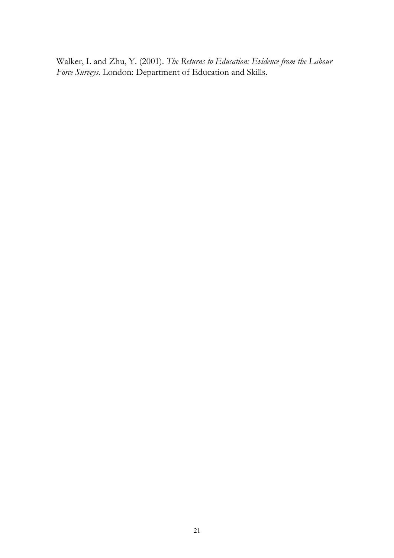Walker, I. and Zhu, Y. (2001). *The Returns to Education: Evidence from the Labour Force Surveys*. London: Department of Education and Skills.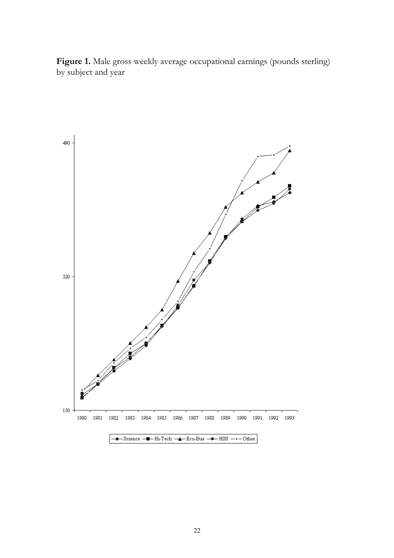Figure 1. Male gross weekly average occupational earnings (pounds sterling) by subject and year

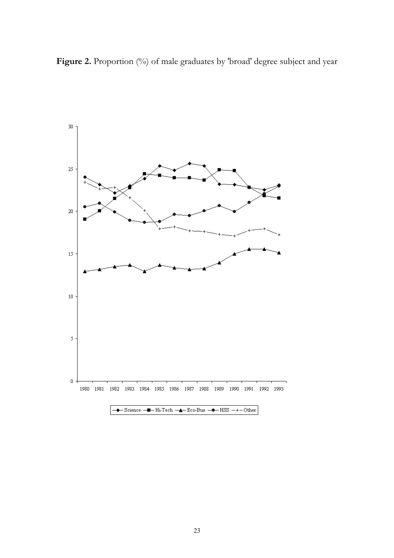Figure 2. Proportion (%) of male graduates by 'broad' degree subject and year

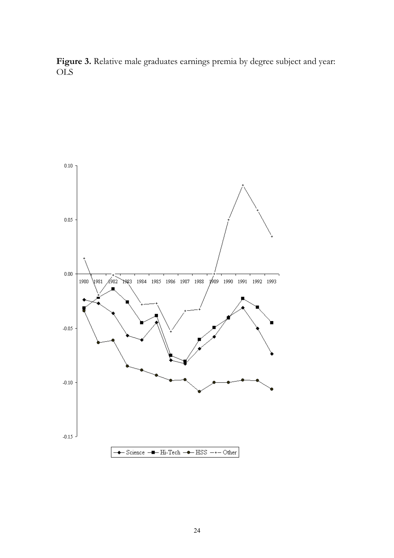Figure 3. Relative male graduates earnings premia by degree subject and year: OLS

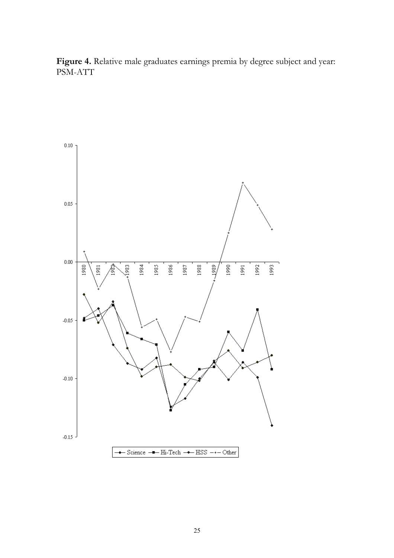Figure 4. Relative male graduates earnings premia by degree subject and year: PSM-ATT

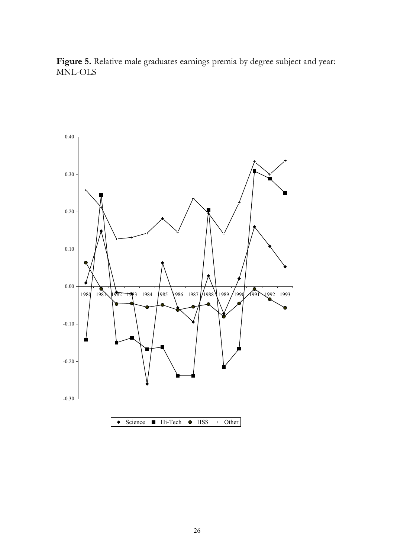

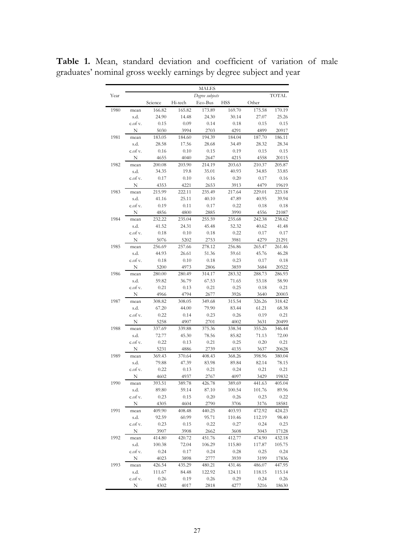|      |              |         |                   | MALES             |            |        |                 |
|------|--------------|---------|-------------------|-------------------|------------|--------|-----------------|
| Year |              | Science |                   | Degree subjects   | <b>HSS</b> | Other  | <b>TOTAL</b>    |
|      |              | 166.82  | Hi-tech<br>165.82 | Eco-Bus<br>173.89 | 169.70     | 175.58 |                 |
| 1980 | mean<br>s.d. | 24.90   | 14.48             | 24.30             | 30.14      | 27.07  | 170.19<br>25.26 |
|      | c.of v.      | 0.15    | 0.09              | 0.14              | 0.18       | 0.15   | 0.15            |
|      | N            | 5030    | 3994              | 2703              | 4291       | 4899   | 20917           |
| 1981 | mean         | 183.05  | 184.60            | 194.39            | 184.04     | 187.70 | 186.11          |
|      | s.d.         | 28.58   | 17.56             | 28.68             | 34.49      | 28.32  | 28.34           |
|      | c.of v.      | 0.16    | 0.10              | 0.15              | 0.19       | 0.15   | 0.15            |
|      | N            | 4655    | 4040              | 2647              | 4215       | 4558   | 20115           |
| 1982 | mean         | 200.08  | 203.90            | 214.19            | 203.63     | 210.37 | 205.87          |
|      | s.d.         | 34.35   | 19.8              | 35.01             | 40.93      | 34.85  | 33.85           |
|      | c.of v.      | 0.17    | 0.10              | 0.16              | 0.20       | 0.17   | 0.16            |
|      | N            | 4353    | 4221              | 2653              | 3913       | 4479   | 19619           |
| 1983 | mean         | 215.99  | 222.11            | 235.49            | 217.64     | 229.01 | 223.18          |
|      | s.d.         | 41.16   | 25.11             | 40.10             | 47.89      | 40.95  | 39.94           |
|      | c.of v.      | 0.19    | 0.11              | 0.17              | 0.22       | 0.18   | 0.18            |
|      | N            | 4856    | 4800              | 2885              | 3990       | 4556   | 21087           |
| 1984 | mean         | 232.22  | 235.04            | 255.59            | 235.68     | 242.38 | 238.62          |
|      | s.d.         | 41.52   | 24.31             | 45.48             | 52.32      | 40.62  | 41.48           |
|      | c.of v.      | 0.18    | 0.10              | 0.18              | 0.22       | 0.17   | 0.17            |
|      | N            | 5076    | 5202              | 2753              | 3981       | 4279   | 21291           |
| 1985 | mean         | 256.69  | 257.66            | 278.12            | 256.86     | 265.47 | 261.46          |
|      | s.d.         | 44.93   | 26.61             | 51.36             | 59.61      | 45.76  | 46.28           |
|      | c.of v.      | 0.18    | 0.10              | 0.18              | 0.23       | 0.17   | 0.18            |
|      | N            | 5200    | 4973              | 2806              | 3859       | 3684   | 20522           |
| 1986 | mean         | 280.00  | 280.49            | 314.17            | 283.32     | 288.73 | 286.93          |
|      | s.d.         | 59.82   | 36.79             | 67.53             | 71.65      | 53.18  | 58.90           |
|      | c.of v.      | 0.21    | 0.13              | 0.21              | 0.25       | 0.18   | 0.21            |
|      | N            | 4966    | 4794              | 2677              | 3926       | 3640   | 20003           |
| 1987 | mean         | 308.82  | 308.05            | 349.68            | 315.54     | 326.26 | 318.42          |
|      | s.d.         | 67.20   | 44.00             | 79.90             | 83.44      | 61.21  | 68.38           |
|      | c.of v.      | 0.22    | 0.14              | 0.23              | 0.26       | 0.19   | 0.21            |
|      | N            | 5258    | 4907              | 2701              | 4002       | 3631   | 20499           |
| 1988 | mean         | 337.69  | 339.88            | 375.36            | 338.34     | 355.26 | 346.44          |
|      | s.d.         | 72.77   | 45.30             | 78.56             | 85.82      | 71.13  | 72.00           |
|      | c.of v.      | 0.22    | 0.13              | 0.21              | 0.25       | 0.20   | 0.21            |
|      | N            | 5231    | 4886              | 2739              | 4135       | 3637   | 20628           |
| 1989 | mean         | 369.43  | 370.64            | 408.43            | 368.26     | 398.96 | 380.04          |
|      | s.d.         | 79.88   | 47.39             | 83.98             | 89.84      | 82.14  | 78.15           |
|      | c.of v.      | 0.22    | 0.13              | 0.21              | 0.24       | 0.21   | 0.21            |
|      | N            | 4602    | 4937              | 2767              | 4097       | 3429   | 19832           |
| 1990 | mean         | 393.51  | 389.78            | 426.78            | 389.69     | 441.63 | 405.04          |
|      | s.d.         | 89.80   | 59.14             | 87.10             | 100.54     | 101.76 | 89.96           |
|      | c.of v.      | 0.23    | 0.15              | 0.20              | 0.26       | 0.23   | 0.22            |
|      | N            | 4305    | 4604              | 2790              | 3706       | 3176   | 18581           |
| 1991 | mean         | 409.90  | 408.48            | 440.25            | 403.93     | 472.92 | 424.23          |
|      | s.d.         | 92.59   | 60.99             | 95.71             | 110.46     | 112.19 | 98.40           |
|      | c.of v.      | 0.23    | 0.15              | 0.22              | 0.27       | 0.24   | 0.23            |
|      | N            | 3907    | 3908              | 2662              | 3608       | 3043   | 17128           |
| 1992 | mean         | 414.80  | 420.72            | 451.76            | 412.77     | 474.90 | 432.18          |
|      | s.d.         | 100.38  | 72.04             | 106.29            | 115.80     | 117.87 | 105.75          |
|      | c.of v.      | 0.24    | 0.17              | 0.24              | 0.28       | 0.25   | 0.24            |
|      | N            | 4023    | 3898              | 2777              | 3939       | 3199   | 17836           |
| 1993 | mean         | 426.54  | 435.29            | 480.21            | 431.46     | 486.07 | 447.95          |
|      | s.d.         | 111.67  | 84.48             | 122.92            | 124.11     | 118.15 | 115.14          |
|      | c.of v.      | 0.26    | 0.19              | 0.26              | 0.29       | 0.24   | 0.26            |
|      |              |         |                   |                   |            |        |                 |

**Table 1.** Mean, standard deviation and coefficient of variation of male graduates' nominal gross weekly earnings by degree subject and year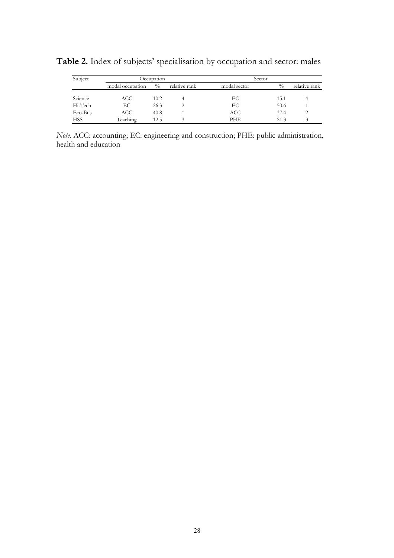| Subject    |                  | Occupation  |               | Sector       |               |               |
|------------|------------------|-------------|---------------|--------------|---------------|---------------|
|            | modal occupation | $^{0}/_{0}$ | relative rank | modal sector | $\frac{0}{0}$ | relative rank |
|            |                  |             |               |              |               |               |
| Science    | ACC              | 10.2        |               | ЕC           | 15.1          |               |
| Hi-Tech    | EС               | 26.3        |               | ЕC           | 50.6          |               |
| Eco-Bus    | ACC              | 40.8        |               | ACC          | 37.4          | っ             |
| <b>HSS</b> | Teaching         | 12.5        |               | PHE.         | 21.3          |               |

**Table 2.** Index of subjects' specialisation by occupation and sector: males

*Note.* ACC: accounting; EC: engineering and construction; PHE: public administration, health and education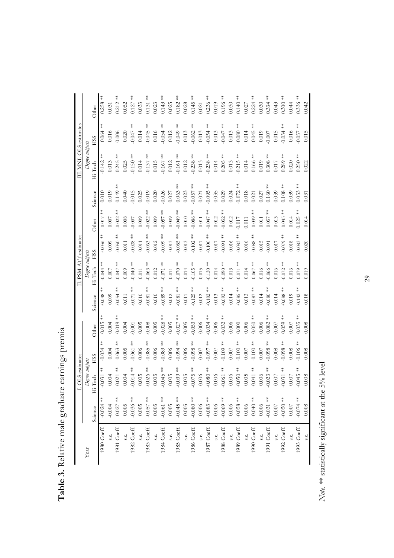|             |             | OLS estimates   |               |              |             | II. PSM-ATT estimates |             |                           |             | II. MNL-OLS estimates     |                |            |
|-------------|-------------|-----------------|---------------|--------------|-------------|-----------------------|-------------|---------------------------|-------------|---------------------------|----------------|------------|
| Year        |             | Degree subjects |               |              |             | Degree subjects       |             |                           |             | Degree subjects           |                |            |
|             | Science     | Hi-Tech         | HSS           | Other        | Science     | Hi-Tech               | HSS         | Other                     | Science     | Hi-Tech                   | HSS            | Other      |
| 1980 Coeff. | $-0.024$ ** | $0.031$ **      | ҉<br>$-0.034$ | $*$<br>0.015 | $-0.048$ ** | $-0.044$ **           | $0.036$ **  | ҉<br>0.017                | 0.010       | $*$<br>$-0.142$           | $* *$<br>0.064 | $0.258**$  |
| s.e.        | $-0.004$    | 0.004           | 0.004         | 0.004        | 0.009       | 0.007                 | 0.009       | 0.007                     | 0.019       | 0.013                     | 0.016          | 0.031      |
| 1981 Coeff. | $-0.027$ ** | $*$<br>0.021    | ≸<br>$-0.063$ | $-0.019**$   | $-0.054$ ** | $-0.047$ **           | $-0.050**$  | $-0.022$                  | $0.149**$   | $*$<br>0.245              | 0.006          | $0.212**$  |
| s.e.        | 0.005       | 0.004           | 0.005         | 0.004        | $0.011$     | 0.009                 | $0.011\,$   | 0.008                     | 0.040       | 0.025                     | 0.020          | 0.052      |
| 1982 Coeff. | $0.036**$   | $*$<br>0.014    | ҉<br>$-0.061$ | 0.001        | $0.071$ **  | $-0.040**$            | $-0.028$ ** | $-0.007$                  | $-0.015$    | $-0.150**$                | $0.047***$     | $0.127**$  |
| s.e.        | 0.005       | 0.005           | 0.006         | 0.005        | 0.010       | 0.011                 | 0.011       | 0.009                     | 0.025       | 0.014                     | 0.014          | 0.033      |
| 1983 Coeff. | $0.057$ **  | $0.026$ **      | $-0.085**$    | 0.008        | $0.081**$   | $-0.063$ **           | $-0.063$ ** | $\frac{1}{x}$<br>$-0.022$ | $-0.019$    | $-0.137$ **               | $0.045**$      | $0.131***$ |
| s.e.        | 0.005       | 0.005           | 0.006         | 0.005        | 0.010       | 0.012                 | 0.012       | 0.009                     | 0.020       | 0.015                     | 0.016          | 0.023      |
| 1984 Coeff. | $-0.061$ ** | $0.045**$       | $-0.089**$    | $0.028**$    | $0.089**$   | $-0.071$ **           | $0.099***$  | $-0.057$ **               | $-0.026$    | $-0.167$ **               | $-0.054$ **    | $0.143**$  |
| s.e.        | $0.005$     | 0.005           | 0.006         | 0.005        | 0.012       | 0.011                 | 0.013       | 0.009                     | 0.027       | 0.012                     | 0.012          | 0.025      |
| 1985 Coeff. | $0.045**$   | $-0.039$ **     | $-0.094$ **   | $-0.027$ **  | $-0.081$ ** | $-0.070$ **           | $-0.085$ ** | $-0.049**$                | $0.063***$  | $-0.161**$                | $0.049**$      | $0.182**$  |
| s.e.        | 0.005       | 0.005           | 0.006         | 0.005        | $0.011\,$   | 0.014                 | 0.013       | $0.010\,$                 | 0.023       | 0.012                     | 0.013          | 0.028      |
| 1986 Coeff. | $-0.080**$  | $-0.075$ **     | $-0.098**$    | $-0.053$ **  | $-0.125$ ** | $-0.105$ **           | $-0.102**$  | $-0.086**$                | $-0.057$ ** | $-0.238**$                | $-0.062**$     | $0.145***$ |
| s.e.        | 0.006       | 0.006           | $0.007$       | 0.006        | 0.012       | 0.015                 | 0.017       | $\,0.011$                 | 0.021       | 0.013                     | 0.013          | $0.021\,$  |
| 1987 Coeff. | $-0.083$ ** | $-0.080**$      | $-0.097$ **   | $-0.034$ **  | $-0.102**$  | $-0.130**$            | $-0.100$ ** | $+40.047$                 | $-0.095$ ** | $-0.238**$                | $-0.054$ **    | $0.236**$  |
| s.e.        | 0.006       | 0.006           | $0.007$       | 0.006        | 0.013       | 0.014                 | $0.017\,$   | 0.012                     | 0.035       | 0.014                     | 0.013          | 0.019      |
| 1988 Coeff. | $-0.069$ ** | $0.061$ **      | $-0.109$ **   | $0.032***$   | $0.092**$   | $-0.090**$            | $-0.091$ ** | $-0.052$ **               | 0.029       | $0.205**$                 | $**10.047$     | $0.196**$  |
| s.e.        | $0.006$     | 0.006           | $0.007$       | 0.006        | 0.014       | 0.013                 | 0.016       | 0.012                     | 0.024       | 0.013                     | 0.013          | 0.030      |
| 1989 Coeff. | $-0.058$ ** | $0.050**$       | $-0.100$ **   | 0.000        | $0.085**$   | $-0.071$ **           | $0.083$ **  | $-0.017$                  | $0.072**$   | $\frac{*}{*}$<br>$-0.215$ | $**$ 0.080.0.  | $0.140**$  |
| s.e.        | $0.006\,$   | 0.005           | $0.007$       | 0.006        | 0.013       | 0.014                 | 0.016       | 0.011                     | 0.018       | 0.014                     | 0.014          | 0.027      |
| 1990 Coeff. | $0.040**$   | $-0.041$ **     | $-0.100**$    | $0.050**$    | $0.087**$   | $-0.067$ **           | $-0.088$ ** | $\frac{*}{*}$<br>0.039    | 0.021       | $0.166***$                | $0.045**$      | $0.224$ ** |
| s.e.        | $0.006\,$   | 0.006           | 0.007         | 0.006        | 0.014       | $0.016\,$             | 0.015       | $0.011\,$                 | 0.027       | 0.019                     | 0.019          | 0.030      |
| 1991 Coeff. | $0.031$ **  | $-0.023$ **     | $-0.098**$    | $0.082***$   | $0.080**$   | $0.066***$            | $-0.091$    | $0.057$ **                | $0.160**$   | $0.308**$                 | $0.007$        | $0.334***$ |
| s.e.        | $0.007\,$   | $0.007$         | 0.008         | 0.007        | 0.014       | 0.016                 | 0.017       | 0.013                     | 0.039       | 0.017                     | 0.015          | 0.043      |
| 1992 Coeff. | $0.050**$   | $-0.031$ **     | $0.098**$     | $0.059**$    | $0.088**$   | $0.072***$            | $0.079**$   | $0.045**$                 | $0.108**$   | $0.289**$                 | $0.034***$     | $0.300**$  |
| s.e.        | $0.007$     | $0.007$         | 0.008         | 1.007        | 0.019       | 0.016                 | 0.018       | 0.014                     | 0.039       | 0.020                     | 0.016          | 0.044      |
| 1993 Coeff. | $0.074***$  | $0.045**$       | $-0.106$ **   | $0.035***$   | $0.142***$  | $0.079***$            | $0.083***$  | $0.025**$                 | $0.053**$   | $0.250**$                 | $0.057***$     | $0.336**$  |
| s.e.        | 0.008       | 0.008           | 0.008         | 0.008        | $0.018\,$   | 0.019                 | 0.020       | 0.014                     | 0.031       | 0.022                     | 0.015          | 0.042      |

Table 3. Relative male graduate earnings premia **Table 3.** Relative male graduate earnings premia

 $N$ ote. \*\* statistically significant at the 5% level *Note.* \*\* statistically significant at the 5% level

29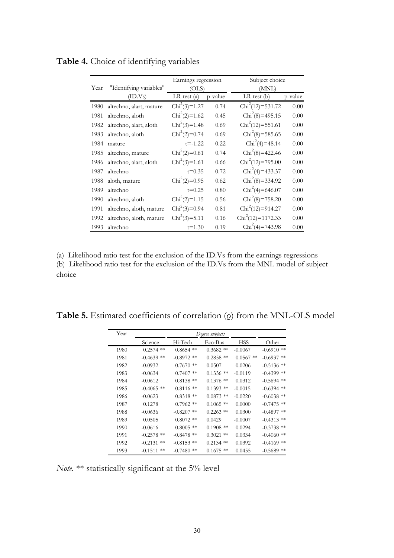|      |                         | Earnings regression |         | Subject choice     |         |
|------|-------------------------|---------------------|---------|--------------------|---------|
| Year | "Identifying variables" | (OLS)               |         | (MNL)              |         |
|      | (ID.Vs)                 | $LR-test(a)$        | p-value | $LR$ -test $(b)$   | p-value |
| 1980 | altechno, alart, mature | $Chi^2(3)=1.27$     | 0.74    | $Chi2(12)=531.72$  | 0.00    |
| 1981 | altechno, aloth         | $Chi2(2)=1.62$      | 0.45    | $Chi2(8)=495.15$   | 0.00    |
| 1982 | altechno, alart, aloth  | $Chi2(3)=1.48$      | 0.69    | $Chi2(12)=551.61$  | 0.00    |
| 1983 | altechno, aloth         | $Chi2(2)=0.74$      | 0.69    | $Chi2(8)=585.65$   | 0.00    |
| 1984 | mature                  | $t = -1.22$         | 0.22    | $Chi2(4)=48.14$    | 0.00    |
| 1985 | altechno, mature        | $Chi2(2)=0.61$      | 0.74    | $Chi2(8)=422.46$   | 0.00    |
| 1986 | altechno, alart, aloth  | $Chi^2(3)=1.61$     | 0.66    | $Chi2(12)=795.00$  | 0.00    |
| 1987 | altechno                | $t = 0.35$          | 0.72    | $Chi2(4)=433.37$   | 0.00    |
| 1988 | aloth, mature           | $Chi2(2)=0.95$      | 0.62    | $Chi2(8)=334.92$   | 0.00    |
| 1989 | altechno                | $t = 0.25$          | 0.80    | $Chi2(4)=646.07$   | 0.00    |
| 1990 | altechno, aloth         | $Chi2(2)=1.15$      | 0.56    | $Chi2(8)=758.20$   | 0.00    |
| 1991 | altechno, aloth, mature | $Chi^2(3)=0.94$     | 0.81    | $Chi2(12)=914.27$  | 0.00    |
| 1992 | altechno, aloth, mature | $Chi^2(3)=5.11$     | 0.16    | $Chi2(12)=1172.33$ | 0.00    |
| 1993 | altechno                | $t = 1.30$          | 0.19    | $Chi2(4)=743.98$   | 0.00    |

**Table 4.** Choice of identifying variables

(a) Likelihood ratio test for the exclusion of the ID.Vs from the earnings regressions (b) Likelihood ratio test for the exclusion of the ID.Vs from the MNL model of subject choice

**Table 5.** Estimated coefficients of correlation (ρ) from the MNL-OLS model

| Year |                   |                | Degree subjects |             |              |
|------|-------------------|----------------|-----------------|-------------|--------------|
|      | Science           | Hi-Tech        | Eco-Bus         | <b>HSS</b>  | Other        |
| 1980 | $0.2574$ **       | $**$<br>0.8654 | $0.3682**$      | $-0.0067$   | $-0.6910$ ** |
| 1981 | $-0.4639$ **      | $-0.8972$ **   | $0.2858$ **     | $0.0567$ ** | $-0.6937$ ** |
| 1982 | $-0.0932$         | $0.7670$ **    | 0.0507          | 0.0206      | $-0.5136$ ** |
| 1983 | $-0.0634$         | $0.7407$ **    | $0.1336$ **     | $-0.0119$   | $-0.4399$ ** |
| 1984 | $-0.0612$         | $0.8138**$     | $0.1376$ **     | 0.0312      | $-0.5694$ ** |
| 1985 | $-0.4065$ **      | $0.8116$ **    | $0.1393$ **     | $-0.0015$   | $-0.6394$ ** |
| 1986 | $-0.0623$         | $0.8318**$     | $0.0873$ **     | $-0.0220$   | $-0.6038$ ** |
| 1987 | 0.1278            | $0.7962$ **    | $0.1065$ **     | 0.0000      | $-0.7475$ ** |
| 1988 | $-0.0636$         | $-0.8207$ **   | $0.2263$ **     | 0.0300      | $-0.4897$ ** |
| 1989 | 0.0505            | $0.8072$ **    | 0.0429          | $-0.0007$   | $-0.4313$ ** |
| 1990 | $-0.0616$         | $0.8005$ **    | $0.1908$ **     | 0.0294      | $-0.3738$ ** |
| 1991 | $-0.2578$ **      | $-0.8478$ **   | 0.3021<br>$**$  | 0.0334      | $-0.4060$ ** |
| 1992 | $-0.2131$<br>$**$ | $-0.8153$ **   | $0.2134$ **     | 0.0392      | $-0.4169$ ** |
| 1993 | $-0.1511$<br>$**$ | $-0.7480$ **   | $0.1675$ **     | 0.0455      | $-0.5689$ ** |

*Note.* \*\* statistically significant at the 5% level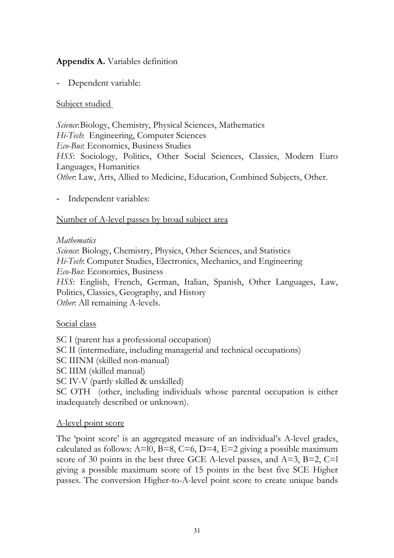### **Appendix A.** Variables definition

Dependent variable:

### Subject studied

*Science*:Biology, Chemistry, Physical Sciences, Mathematics *Hi-Tech*: Engineering, Computer Sciences *Eco-Bus*: Economics, Business Studies *HSS*: Sociology, Politics, Other Social Sciences, Classics, Modern Euro Languages, Humanities *Other*: Law, Arts, Allied to Medicine, Education, Combined Subjects, Other.

- Independent variables:

### Number of A-level passes by broad subject area

#### *Mathematics*

*Science*: Biology, Chemistry, Physics, Other Sciences, and Statistics *Hi-Tech*: Computer Studies, Electronics, Mechanics, and Engineering *Eco-Bus*: Economics, Business *HSS*: English, French, German, Italian, Spanish, Other Languages, Law, Politics, Classics, Geography, and History *Other*: All remaining A-levels.

#### Social class

SC I (parent has a professional occupation) SC II (intermediate, including managerial and technical occupations) SC IIINM (skilled non-manual) SC IIIM (skilled manual) SC IV-V (partly skilled & unskilled) SC OTH (other, including individuals whose parental occupation is either inadequately described or unknown).

### A-level point score

The 'point score' is an aggregated measure of an individual's A-level grades, calculated as follows:  $A=10$ ,  $B=8$ ,  $C=6$ ,  $D=4$ ,  $E=2$  giving a possible maximum score of 30 points in the best three GCE A-level passes, and  $A=3$ ,  $B=2$ ,  $C=1$ giving a possible maximum score of 15 points in the best five SCE Higher passes. The conversion Higher-to-A-level point score to create unique bands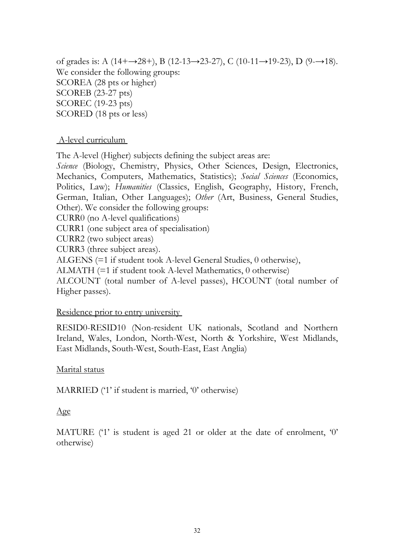of grades is: A (14+→28+), B (12-13→23-27), C (10-11→19-23), D (9-→18). We consider the following groups: SCOREA (28 pts or higher) SCOREB (23-27 pts) SCOREC (19-23 pts) SCORED (18 pts or less)

### A-level curriculum

The A-level (Higher) subjects defining the subject areas are:

*Science* (Biology, Chemistry, Physics, Other Sciences, Design, Electronics, Mechanics, Computers, Mathematics, Statistics); *Social Sciences* (Economics, Politics, Law); *Humanities* (Classics, English, Geography, History, French, German, Italian, Other Languages); *Other* (Art, Business, General Studies, Other). We consider the following groups:

CURR0 (no A-level qualifications)

CURR1 (one subject area of specialisation)

CURR2 (two subject areas)

CURR3 (three subject areas).

ALGENS (=1 if student took A-level General Studies, 0 otherwise),

ALMATH (=1 if student took A-level Mathematics, 0 otherwise)

ALCOUNT (total number of A-level passes), HCOUNT (total number of Higher passes).

#### Residence prior to entry university

RESID0-RESID10 (Non-resident UK nationals, Scotland and Northern Ireland, Wales, London, North-West, North & Yorkshire, West Midlands, East Midlands, South-West, South-East, East Anglia)

#### Marital status

MARRIED ('1' if student is married, '0' otherwise)

### Age

MATURE ('1' is student is aged 21 or older at the date of enrolment, '0' otherwise)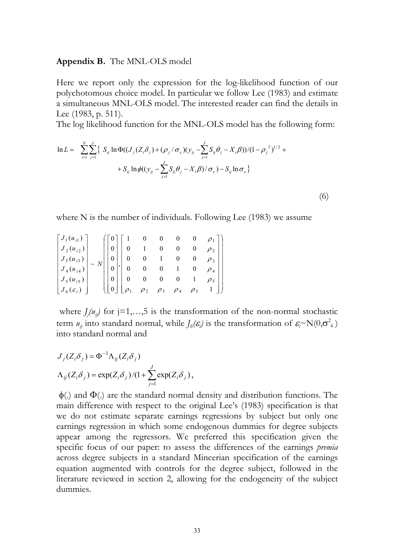#### **Appendix B.** The MNL-OLS model

Here we report only the expression for the log-likelihood function of our polychotomous choice model. In particular we follow Lee (1983) and estimate a simultaneous MNL-OLS model. The interested reader can find the details in Lee (1983, p. 511).

The log likelihood function for the MNL-OLS model has the following form:

$$
\ln L = \sum_{i=1}^{N} \sum_{j=1}^{J} \left\{ S_{ij} \ln \Phi((J_{j}(Z_{i}\delta_{j}) + (\rho_{j}/\sigma_{\varepsilon})(y_{ij} - \sum_{j=1}^{J} S_{ij}\theta_{j} - X_{i}\beta)) / (1 - \rho_{j}^{2})^{1/2} + S_{ij} \ln \phi((y_{ij} - \sum_{j=1}^{J} S_{ij}\theta_{j} - X_{i}\beta) / \sigma_{\varepsilon}) - S_{ij} \ln \sigma_{\varepsilon} \right\}
$$
\n(6)

where N is the number of individuals. Following Lee (1983) we assume

$$
\begin{bmatrix} J_1(u_{i1}) \ J_2(u_{i2}) \ J_3(u_{i3}) \ J_4(u_{i4}) \end{bmatrix} \sim N \begin{bmatrix} 0 \ 0 \ 0 \ 0 \end{bmatrix} \begin{bmatrix} 1 & 0 & 0 & 0 & 0 & \rho_1 \\ 0 & 1 & 0 & 0 & 0 & \rho_2 \\ 0 & 0 & 1 & 0 & 0 & \rho_3 \\ 0 & 0 & 0 & 1 & 0 & \rho_4 \\ 0 & 0 & 0 & 0 & 1 & \rho_5 \\ 0 & 0 & 0 & 0 & 0 & 1 & \rho_5 \\ 0 & 0 & 0 & 0 & 0 & 1 & \rho_5 \\ 0 & 0 & 0 & 0 & 0 & 0 & 1 \end{bmatrix}
$$

where  $J_j(u_{ij})$  for  $j=1,\ldots,5$  is the transformation of the non-normal stochastic term  $u_{ij}$  into standard normal, while  $J_{\phi}(\varepsilon_j)$  is the transformation of  $\varepsilon_j \sim N(0,\sigma^2 \varepsilon)$ into standard normal and

$$
J_j(Z_i \delta_j) = \Phi^{-1} \Lambda_{ij} (Z_i \delta_j)
$$
  

$$
\Lambda_{ij} (Z_i \delta_j) = \exp(Z_i \delta_j) / (1 + \sum_{j=1}^J \exp(Z_i \delta_j)),
$$

 $\phi$ (.) and  $\Phi$ (.) are the standard normal density and distribution functions. The main difference with respect to the original Lee's (1983) specification is that we do not estimate separate earnings regressions by subject but only one earnings regression in which some endogenous dummies for degree subjects appear among the regressors. We preferred this specification given the specific focus of our paper: to assess the differences of the earnings *premia* across degree subjects in a standard Mincerian specification of the earnings equation augmented with controls for the degree subject, followed in the literature reviewed in section 2, allowing for the endogeneity of the subject dummies.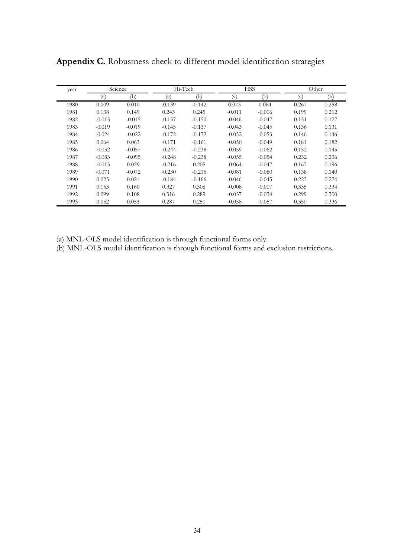| year |          | Science  |          | Hi-Tech  |          | <b>HSS</b> |       | Other |
|------|----------|----------|----------|----------|----------|------------|-------|-------|
|      | (a)      | (b)      | (a)      | (b)      | (a)      | (b)        | (a)   | (b)   |
| 1980 | 0.009    | 0.010    | $-0.139$ | $-0.142$ | 0.073    | 0.064      | 0.267 | 0.258 |
| 1981 | 0.138    | 0.149    | 0.243    | 0.245    | $-0.011$ | $-0.006$   | 0.199 | 0.212 |
| 1982 | $-0.015$ | $-0.015$ | $-0.157$ | $-0.150$ | $-0.046$ | $-0.047$   | 0.131 | 0.127 |
| 1983 | $-0.019$ | $-0.019$ | $-0.145$ | $-0.137$ | $-0.043$ | $-0.045$   | 0.136 | 0.131 |
| 1984 | $-0.024$ | $-0.022$ | $-0.172$ | $-0.172$ | $-0.052$ | $-0.053$   | 0.146 | 0.146 |
| 1985 | 0.064    | 0.063    | $-0.171$ | $-0.161$ | $-0.050$ | $-0.049$   | 0.181 | 0.182 |
| 1986 | $-0.052$ | $-0.057$ | $-0.244$ | $-0.238$ | $-0.059$ | $-0.062$   | 0.152 | 0.145 |
| 1987 | $-0.083$ | $-0.095$ | $-0.248$ | $-0.238$ | $-0.055$ | $-0.054$   | 0.232 | 0.236 |
| 1988 | $-0.015$ | 0.029    | $-0.216$ | 0.205    | $-0.064$ | $-0.047$   | 0.167 | 0.196 |
| 1989 | $-0.071$ | $-0.072$ | $-0.230$ | $-0.215$ | $-0.081$ | $-0.080$   | 0.138 | 0.140 |
| 1990 | 0.025    | 0.021    | $-0.184$ | $-0.166$ | $-0.046$ | $-0.045$   | 0.223 | 0.224 |
| 1991 | 0.153    | 0.160    | 0.327    | 0.308    | $-0.008$ | $-0.007$   | 0.335 | 0.334 |
| 1992 | 0.099    | 0.108    | 0.316    | 0.289    | $-0.037$ | $-0.034$   | 0.299 | 0.300 |
| 1993 | 0.052    | 0.053    | 0.287    | 0.250    | $-0.058$ | $-0.057$   | 0.350 | 0.336 |

**Appendix C.** Robustness check to different model identification strategies

(a) MNL-OLS model identification is through functional forms only.

(b) MNL-OLS model identification is through functional forms and exclusion restrictions.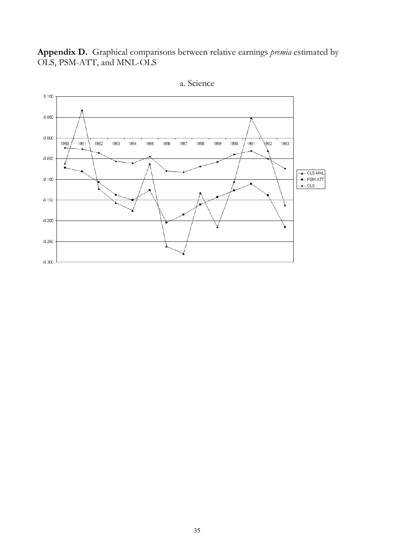**Appendix D.** Graphical comparisons between relative earnings *premia* estimated by OLS, PSM-ATT, and MNL-OLS



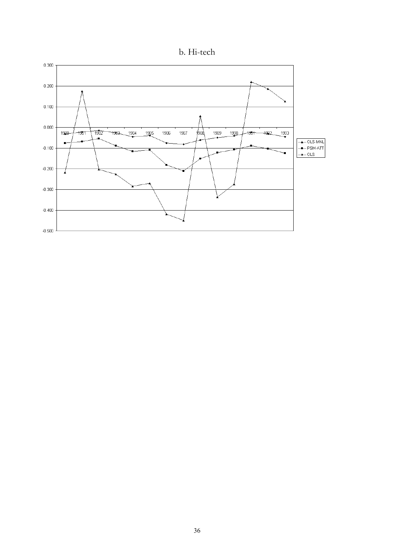

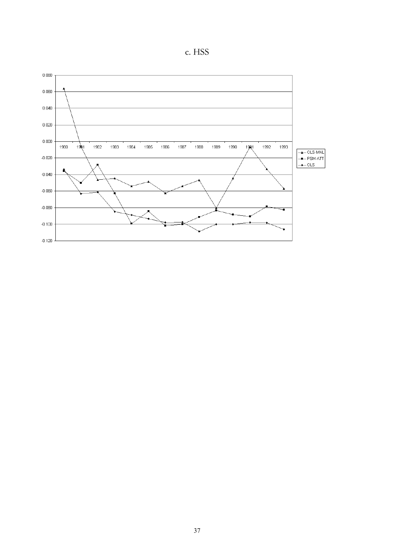

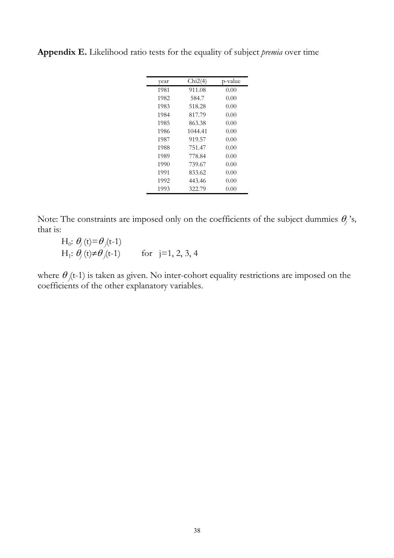| year | Chi2(4) | p-value |
|------|---------|---------|
| 1981 | 911.08  | 0.00    |
| 1982 | 584.7   | 0.00    |
| 1983 | 518.28  | 0.00    |
| 1984 | 817.79  | 0.00    |
| 1985 | 863.38  | 0.00    |
| 1986 | 1044.41 | 0.00    |
| 1987 | 919.57  | 0.00    |
| 1988 | 751.47  | 0.00    |
| 1989 | 778.84  | 0.00    |
| 1990 | 739.67  | 0.00    |
| 1991 | 833.62  | 0.00    |
| 1992 | 443.46  | 0.00    |
| 1993 | 322.79  | 0.00    |

**Appendix E.** Likelihood ratio tests for the equality of subject *premia* over time

Note: The constraints are imposed only on the coefficients of the subject dummies  $\theta_j$ 's, that is:

 $H_0: \theta_j(t) = \theta_j(t-1)$  $H_1: \theta_j(t) \neq \theta_j(t-1)$  for j=1, 2, 3, 4

where  $\theta_{i}(t-1)$  is taken as given. No inter-cohort equality restrictions are imposed on the coefficients of the other explanatory variables.